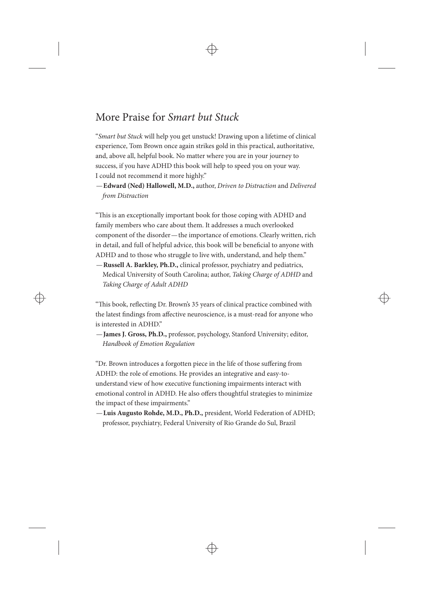### More Praise for *Smart but Stuck*

"*Smart but Stuck* will help you get unstuck! Drawing upon a lifetime of clinical experience, Tom Brown once again strikes gold in this practical, authoritative, and, above all, helpful book. No matter where you are in your journey to success, if you have ADHD this book will help to speed you on your way. I could not recommend it more highly."

—**Edward (Ned) Hallowell, M.D.,** author, *Driven to Distraction* and *Delivered from Distraction*

"This is an exceptionally important book for those coping with ADHD and family members who care about them. It addresses a much overlooked component of the disorder— the importance of emotions. Clearly written, rich in detail, and full of helpful advice, this book will be beneficial to anyone with ADHD and to those who struggle to live with, understand, and help them."

—**Russell A. Barkley, Ph.D.,** clinical professor, psychiatry and pediatrics, Medical University of South Carolina; author, *Taking Charge of ADHD* and *Taking Charge of Adult ADHD*

"This book, reflecting Dr. Brown's 35 years of clinical practice combined with the latest findings from affective neuroscience, is a must-read for anyone who is interested in ADHD."

—**James J. Gross, Ph.D.,** professor, psychology, Stanford University; editor, *Handbook of Emotion Regulation*

"Dr. Brown introduces a forgotten piece in the life of those suffering from ADHD: the role of emotions. He provides an integrative and easy-tounderstand view of how executive functioning impairments interact with emotional control in ADHD. He also offers thoughtful strategies to minimize the impact of these impairments."

—**Luis Augusto Rohde, M.D., Ph.D.,** president, World Federation of ADHD; professor, psychiatry, Federal University of Rio Grande do Sul, Brazil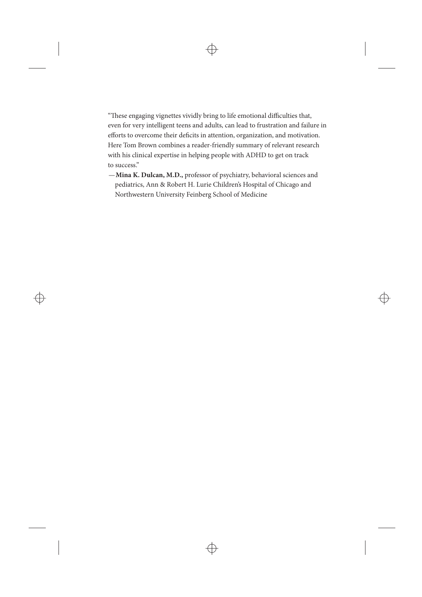"These engaging vignettes vividly bring to life emotional difficulties that, even for very intelligent teens and adults, can lead to frustration and failure in efforts to overcome their deficits in attention, organization, and motivation. Here Tom Brown combines a reader-friendly summary of relevant research with his clinical expertise in helping people with ADHD to get on track to success<sup>"</sup>

—**Mina K. Dulcan, M.D.,** professor of psychiatry, behavioral sciences and pediatrics, Ann & Robert H. Lurie Children's Hospital of Chicago and Northwestern University Feinberg School of Medicine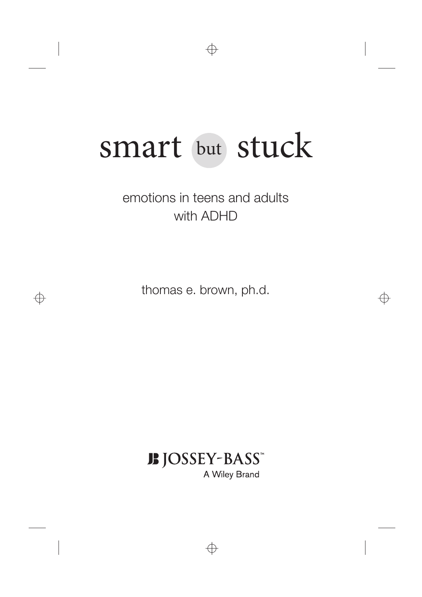# smart but stuck

## emotions in teens and adults with ADHD

thomas e. brown, ph.d.

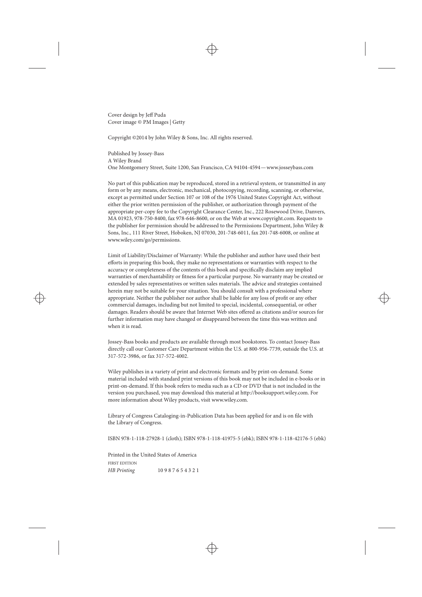Cover design by Jeff Puda Cover image © PM Images | Getty

Copyright ©2014 by John Wiley & Sons, Inc. All rights reserved.

Published by Jossey-Bass A Wiley Brand One Montgomery Street, Suite 1200, San Francisco, CA 94104-4594—www.josseybass.com

No part of this publication may be reproduced, stored in a retrieval system, or transmitted in any form or by any means, electronic, mechanical, photocopying, recording, scanning, or otherwise, except as permitted under Section 107 or 108 of the 1976 United States Copyright Act, without either the prior written permission of the publisher, or authorization through payment of the appropriate per-copy fee to the Copyright Clearance Center, Inc., 222 Rosewood Drive, Danvers, MA 01923, 978-750-8400, fax 978-646-8600, or on the Web at www.copyright.com. Requests to the publisher for permission should be addressed to the Permissions Department, John Wiley & Sons, Inc., 111 River Street, Hoboken, NJ 07030, 201-748-6011, fax 201-748-6008, or online at www.wiley.com/go/permissions.

Limit of Liability/Disclaimer of Warranty: While the publisher and author have used their best efforts in preparing this book, they make no representations or warranties with respect to the accuracy or completeness of the contents of this book and specifically disclaim any implied warranties of merchantability or fitness for a particular purpose. No warranty may be created or extended by sales representatives or written sales materials. The advice and strategies contained herein may not be suitable for your situation. You should consult with a professional where appropriate. Neither the publisher nor author shall be liable for any loss of profit or any other commercial damages, including but not limited to special, incidental, consequential, or other damages. Readers should be aware that Internet Web sites offered as citations and/or sources for further information may have changed or disappeared between the time this was written and when it is read.

Jossey-Bass books and products are available through most bookstores. To contact Jossey-Bass directly call our Customer Care Department within the U.S. at 800-956-7739, outside the U.S. at 317-572-3986, or fax 317-572-4002.

Wiley publishes in a variety of print and electronic formats and by print-on-demand. Some material included with standard print versions of this book may not be included in e-books or in print-on-demand. If this book refers to media such as a CD or DVD that is not included in the version you purchased, you may download this material at http://booksupport.wiley.com. For more information about Wiley products, visit www.wiley.com.

Library of Congress Cataloging-in-Publication Data has been applied for and is on file with the Library of Congress.

ISBN 978-1-118-27928-1 (cloth); ISBN 978-1-118-41975-5 (ebk); ISBN 978-1-118-42176-5 (ebk)

Printed in the United States of America FIRST EDITION *HB Printing* 10 9 8 7 6 5 4 3 2 1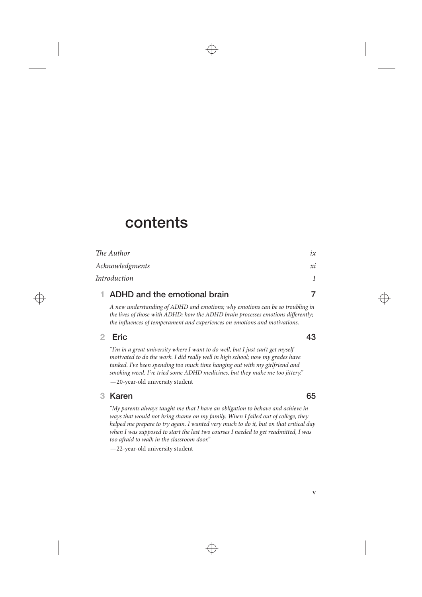## **contents**

| The Author                      | iх |
|---------------------------------|----|
| Acknowledgments<br>Introduction | хi |
|                                 |    |

*A new understanding of ADHD and emotions; why emotions can be so troubling in the lives of those with ADHD; how the ADHD brain processes emotions differently; the influences of temperament and experiences on emotions and motivations.*

### **2 Eric 43**

*"I'm in a great university where I want to do well, but I just can't get myself motivated to do the work. I did really well in high school; now my grades have tanked. I've been spending too much time hanging out with my girlfriend and smoking weed. I've tried some ADHD medicines, but they make me too jittery."* —20-year-old university student

#### **3 Karen 65**

*"My parents always taught me that I have an obligation to behave and achieve in ways that would not bring shame on my family. When I failed out of college, they helped me prepare to try again. I wanted very much to do it, but on that critical day when I was supposed to start the last two courses I needed to get readmitted, I was too afraid to walk in the classroom door."*

—22-year-old university student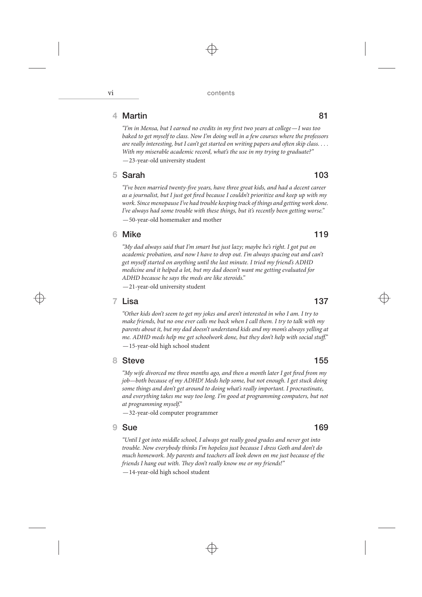### **4 Martin 81**

*"I'm in Mensa, but I earned no credits in my first two years at college— I was too baked to get myself to class. Now I'm doing well in a few courses where the professors are really interesting, but I can't get started on writing papers and often skip class. . . . With my miserable academic record, what's the use in my trying to graduate?"* —23-year-old university student

#### **5 Sarah 103**

*"I've been married twenty-five years, have three great kids, and had a decent career as a journalist, but I just got fired because I couldn't prioritize and keep up with my work. Since menopause I've had trouble keeping track of things and getting work done. I've always had some trouble with these things, but it's recently been getting worse."* —50-year-old homemaker and mother

#### **6 Mike 119**

*"My dad always said that I'm smart but just lazy; maybe he's right. I got put on academic probation, and now I have to drop out. I'm always spacing out and can't get myself started on anything until the last minute. I tried my friend's ADHD medicine and it helped a lot, but my dad doesn't want me getting evaluated for ADHD because he says the meds are like steroids."*

—21-year-old university student

#### **7 Lisa 137**

*"Other kids don't seem to get my jokes and aren't interested in who I am. I try to make friends, but no one ever calls me back when I call them. I try to talk with my parents about it, but my dad doesn't understand kids and my mom's always yelling at me. ADHD meds help me get schoolwork done, but they don't help with social stuff."* —15-year-old high school student

#### **8 Steve 155**

*"My wife divorced me three months ago, and then a month later I got fired from my job—both because of my ADHD! Meds help some, but not enough. I get stuck doing some things and don't get around to doing what's really important. I procrastinate, and everything takes me way too long. I'm good at programming computers, but not at programming myself."*

—32-year-old computer programmer

#### **9 Sue 169**

*"Until I got into middle school, I always got really good grades and never got into trouble. Now everybody thinks I'm hopeless just because I dress Goth and don't do much homework. My parents and teachers all look down on me just because of the friends I hang out with. They don't really know me or my friends!"*

—14-year-old high school student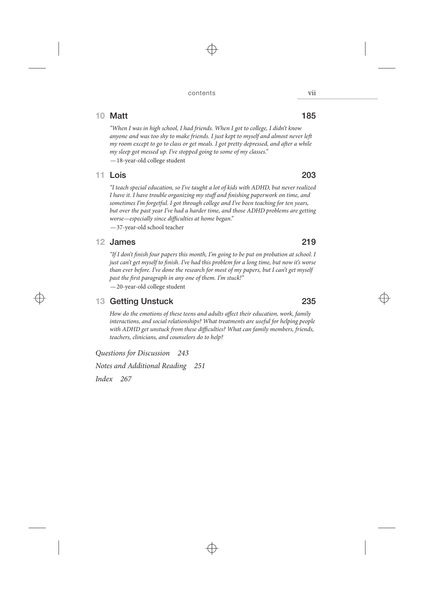#### contents vii

#### **10 Matt 185**

*"When I was in high school, I had friends. When I got to college, I didn't know anyone and was too shy to make friends. I just kept to myself and almost never left my room except to go to class or get meals. I got pretty depressed, and after a while my sleep got messed up. I've stopped going to some of my classes."* —18-year-old college student

### **11 Lois 203**

*"I teach special education, so I've taught a lot of kids with ADHD, but never realized I have it. I have trouble organizing my stuff and finishing paperwork on time, and sometimes I'm forgetful. I got through college and I've been teaching for ten years, but over the past year I've had a harder time, and those ADHD problems are getting worse—especially since difficulties at home began."*

—37-year-old school teacher

#### **12 James 219**

*"If I don't finish four papers this month, I'm going to be put on probation at school. I just can't get myself to finish. I've had this problem for a long time, but now it's worse than ever before. I've done the research for most of my papers, but I can't get myself past the first paragraph in any one of them. I'm stuck!"*

—20-year-old college student

### **13 Getting Unstuck 235**

*How do the emotions of these teens and adults affect their education, work, family interactions, and social relationships? What treatments are useful for helping people with ADHD get unstuck from these difficulties? What can family members, friends, teachers, clinicians, and counselors do to help?*

*Questions for Discussion 243*

*Notes and Additional Reading 251*

*Index 267*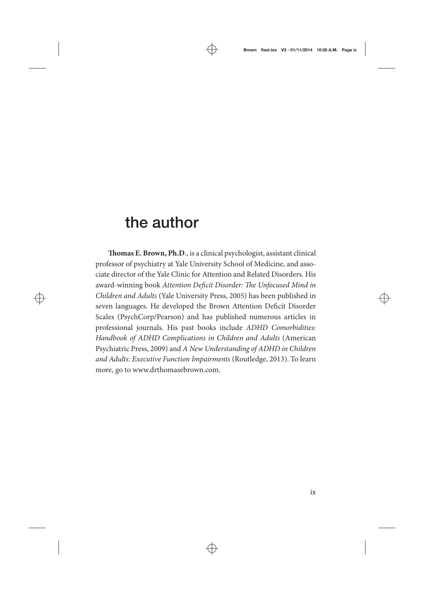## **the author**

**Thomas E. Brown, Ph.D**., is a clinical psychologist, assistant clinical professor of psychiatry at Yale University School of Medicine, and associate director of the Yale Clinic for Attention and Related Disorders. His award-winning book *Attention Deficit Disorder: The Unfocused Mind in Children and Adults* (Yale University Press, 2005) has been published in seven languages. He developed the Brown Attention Deficit Disorder Scales (PsychCorp/Pearson) and has published numerous articles in professional journals. His past books include *ADHD Comorbidities: Handbook of ADHD Complications in Children and Adults* (American Psychiatric Press, 2009) and *A New Understanding of ADHD in Children and Adults: Executive Function Impairments* (Routledge, 2013). To learn more, go to www.drthomasebrown.com.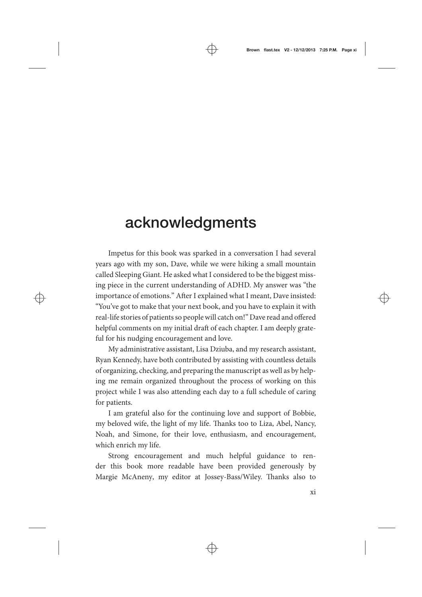## **acknowledgments**

Impetus for this book was sparked in a conversation I had several years ago with my son, Dave, while we were hiking a small mountain called Sleeping Giant. He asked what I considered to be the biggest missing piece in the current understanding of ADHD. My answer was "the importance of emotions." After I explained what I meant, Dave insisted: "You've got to make that your next book, and you have to explain it with real-life stories of patients so people will catch on!" Dave read and offered helpful comments on my initial draft of each chapter. I am deeply grateful for his nudging encouragement and love.

My administrative assistant, Lisa Dziuba, and my research assistant, Ryan Kennedy, have both contributed by assisting with countless details of organizing, checking, and preparing the manuscript as well as by helping me remain organized throughout the process of working on this project while I was also attending each day to a full schedule of caring for patients.

I am grateful also for the continuing love and support of Bobbie, my beloved wife, the light of my life. Thanks too to Liza, Abel, Nancy, Noah, and Simone, for their love, enthusiasm, and encouragement, which enrich my life.

Strong encouragement and much helpful guidance to render this book more readable have been provided generously by Margie McAneny, my editor at Jossey-Bass/Wiley. Thanks also to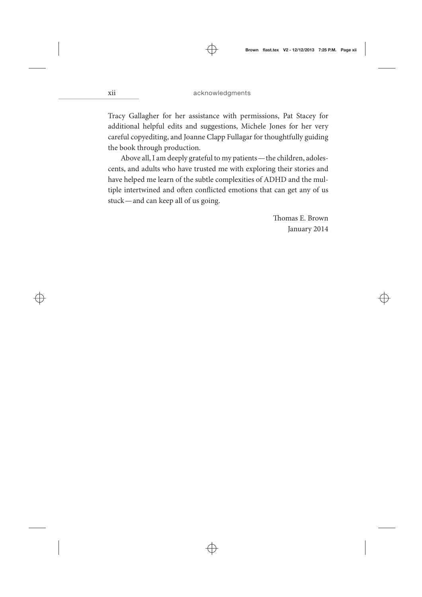Tracy Gallagher for her assistance with permissions, Pat Stacey for additional helpful edits and suggestions, Michele Jones for her very careful copyediting, and Joanne Clapp Fullagar for thoughtfully guiding the book through production.

Above all, I am deeply grateful to my patients— the children, adolescents, and adults who have trusted me with exploring their stories and have helped me learn of the subtle complexities of ADHD and the multiple intertwined and often conflicted emotions that can get any of us stuck—and can keep all of us going.

> Thomas E. Brown January 2014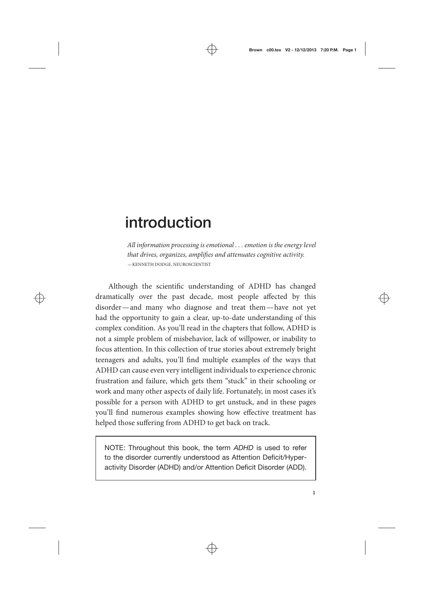## **introduction**

*All information processing is emotional . . . emotion is the energy level that drives, organizes, amplifies and attenuates cognitive activity.* —KENNETH DODGE, NEUROSCIENTIST

Although the scientific understanding of ADHD has changed dramatically over the past decade, most people affected by this disorder—and many who diagnose and treat them—have not yet had the opportunity to gain a clear, up-to-date understanding of this complex condition. As you'll read in the chapters that follow, ADHD is not a simple problem of misbehavior, lack of willpower, or inability to focus attention. In this collection of true stories about extremely bright teenagers and adults, you'll find multiple examples of the ways that ADHD can cause even very intelligent individuals to experience chronic frustration and failure, which gets them "stuck" in their schooling or work and many other aspects of daily life. Fortunately, in most cases it's possible for a person with ADHD to get unstuck, and in these pages you'll find numerous examples showing how effective treatment has helped those suffering from ADHD to get back on track.

NOTE: Throughout this book, the term ADHD is used to refer to the disorder currently understood as Attention Deficit/Hyperactivity Disorder (ADHD) and/or Attention Deficit Disorder (ADD).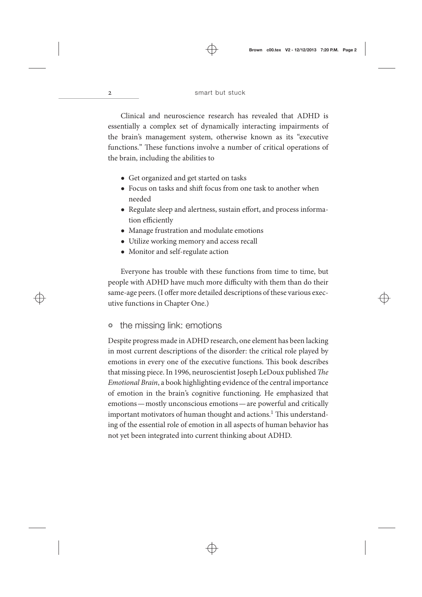Clinical and neuroscience research has revealed that ADHD is essentially a complex set of dynamically interacting impairments of the brain's management system, otherwise known as its "executive functions." These functions involve a number of critical operations of the brain, including the abilities to

- Get organized and get started on tasks
- Focus on tasks and shift focus from one task to another when needed
- Regulate sleep and alertness, sustain effort, and process information efficiently
- Manage frustration and modulate emotions
- Utilize working memory and access recall
- Monitor and self-regulate action

Everyone has trouble with these functions from time to time, but people with ADHD have much more difficulty with them than do their same-age peers. (I offer more detailed descriptions of these various executive functions in Chapter One.)

#### **°** the missing link: emotions

Despite progress made in ADHD research, one element has been lacking in most current descriptions of the disorder: the critical role played by emotions in every one of the executive functions. This book describes that missing piece. In 1996, neuroscientist Joseph LeDoux published*The Emotional Brain*, a book highlighting evidence of the central importance of emotion in the brain's cognitive functioning. He emphasized that emotions—mostly unconscious emotions—are powerful and critically important motivators of human thought and actions.<sup>1</sup> This understanding of the essential role of emotion in all aspects of human behavior has not yet been integrated into current thinking about ADHD.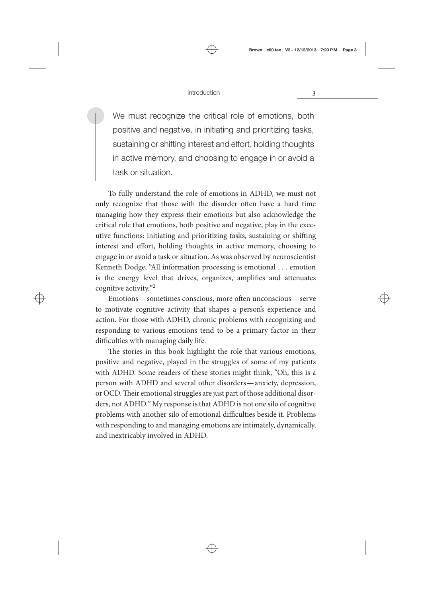We must recognize the critical role of emotions, both positive and negative, in initiating and prioritizing tasks, sustaining or shifting interest and effort, holding thoughts in active memory, and choosing to engage in or avoid a task or situation.

To fully understand the role of emotions in ADHD, we must not only recognize that those with the disorder often have a hard time managing how they express their emotions but also acknowledge the critical role that emotions, both positive and negative, play in the executive functions: initiating and prioritizing tasks, sustaining or shifting interest and effort, holding thoughts in active memory, choosing to engage in or avoid a task or situation. As was observed by neuroscientist Kenneth Dodge, "All information processing is emotional . . . emotion is the energy level that drives, organizes, amplifies and attenuates cognitive activity."<sup>2</sup>

Emotions—sometimes conscious, more often unconscious—serve to motivate cognitive activity that shapes a person's experience and action. For those with ADHD, chronic problems with recognizing and responding to various emotions tend to be a primary factor in their difficulties with managing daily life.

The stories in this book highlight the role that various emotions, positive and negative, played in the struggles of some of my patients with ADHD. Some readers of these stories might think, "Oh, this is a person with ADHD and several other disorders—anxiety, depression, or OCD.Their emotional struggles are just part of those additional disorders, not ADHD." My response is that ADHD is not one silo of cognitive problems with another silo of emotional difficulties beside it. Problems with responding to and managing emotions are intimately, dynamically, and inextricably involved in ADHD.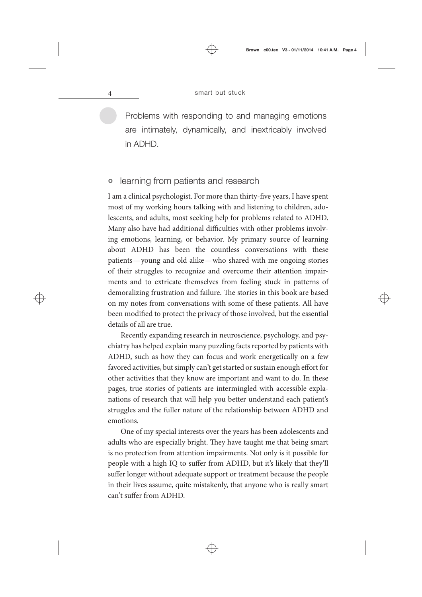Problems with responding to and managing emotions are intimately, dynamically, and inextricably involved in ADHD.

### **°** learning from patients and research

I am a clinical psychologist. For more than thirty-five years, I have spent most of my working hours talking with and listening to children, adolescents, and adults, most seeking help for problems related to ADHD. Many also have had additional difficulties with other problems involving emotions, learning, or behavior. My primary source of learning about ADHD has been the countless conversations with these patients—young and old alike—who shared with me ongoing stories of their struggles to recognize and overcome their attention impairments and to extricate themselves from feeling stuck in patterns of demoralizing frustration and failure. The stories in this book are based on my notes from conversations with some of these patients. All have been modified to protect the privacy of those involved, but the essential details of all are true.

Recently expanding research in neuroscience, psychology, and psychiatry has helped explain many puzzling facts reported by patients with ADHD, such as how they can focus and work energetically on a few favored activities, but simply can't get started or sustain enough effort for other activities that they know are important and want to do. In these pages, true stories of patients are intermingled with accessible explanations of research that will help you better understand each patient's struggles and the fuller nature of the relationship between ADHD and emotions.

One of my special interests over the years has been adolescents and adults who are especially bright. They have taught me that being smart is no protection from attention impairments. Not only is it possible for people with a high IQ to suffer from ADHD, but it's likely that they'll suffer longer without adequate support or treatment because the people in their lives assume, quite mistakenly, that anyone who is really smart can't suffer from ADHD.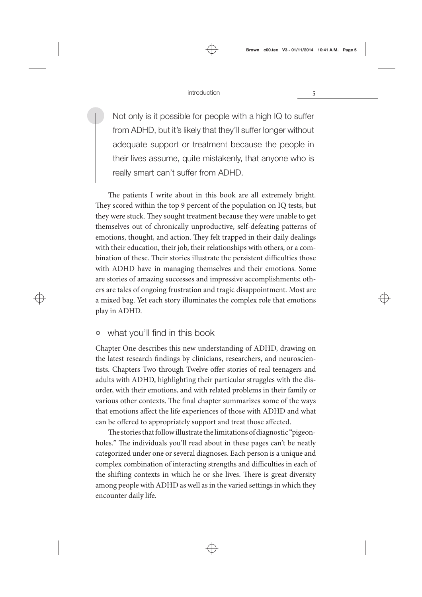Not only is it possible for people with a high IQ to suffer from ADHD, but it's likely that they'll suffer longer without adequate support or treatment because the people in their lives assume, quite mistakenly, that anyone who is really smart can't suffer from ADHD.

The patients I write about in this book are all extremely bright. They scored within the top 9 percent of the population on IQ tests, but they were stuck. They sought treatment because they were unable to get themselves out of chronically unproductive, self-defeating patterns of emotions, thought, and action. They felt trapped in their daily dealings with their education, their job, their relationships with others, or a combination of these. Their stories illustrate the persistent difficulties those with ADHD have in managing themselves and their emotions. Some are stories of amazing successes and impressive accomplishments; others are tales of ongoing frustration and tragic disappointment. Most are a mixed bag. Yet each story illuminates the complex role that emotions play in ADHD.

#### **°** what you'll find in this book

Chapter One describes this new understanding of ADHD, drawing on the latest research findings by clinicians, researchers, and neuroscientists. Chapters Two through Twelve offer stories of real teenagers and adults with ADHD, highlighting their particular struggles with the disorder, with their emotions, and with related problems in their family or various other contexts. The final chapter summarizes some of the ways that emotions affect the life experiences of those with ADHD and what can be offered to appropriately support and treat those affected.

The stories that follow illustrate the limitations of diagnostic "pigeonholes." The individuals you'll read about in these pages can't be neatly categorized under one or several diagnoses. Each person is a unique and complex combination of interacting strengths and difficulties in each of the shifting contexts in which he or she lives. There is great diversity among people with ADHD as well as in the varied settings in which they encounter daily life.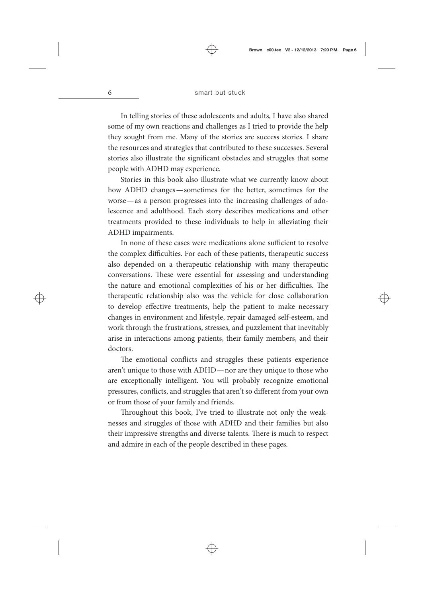smart but stuck

In telling stories of these adolescents and adults, I have also shared some of my own reactions and challenges as I tried to provide the help they sought from me. Many of the stories are success stories. I share the resources and strategies that contributed to these successes. Several stories also illustrate the significant obstacles and struggles that some people with ADHD may experience.

Stories in this book also illustrate what we currently know about how ADHD changes—sometimes for the better, sometimes for the worse—as a person progresses into the increasing challenges of adolescence and adulthood. Each story describes medications and other treatments provided to these individuals to help in alleviating their ADHD impairments.

In none of these cases were medications alone sufficient to resolve the complex difficulties. For each of these patients, therapeutic success also depended on a therapeutic relationship with many therapeutic conversations. These were essential for assessing and understanding the nature and emotional complexities of his or her difficulties. The therapeutic relationship also was the vehicle for close collaboration to develop effective treatments, help the patient to make necessary changes in environment and lifestyle, repair damaged self-esteem, and work through the frustrations, stresses, and puzzlement that inevitably arise in interactions among patients, their family members, and their doctors.

The emotional conflicts and struggles these patients experience aren't unique to those with ADHD—nor are they unique to those who are exceptionally intelligent. You will probably recognize emotional pressures, conflicts, and struggles that aren't so different from your own or from those of your family and friends.

Throughout this book, I've tried to illustrate not only the weaknesses and struggles of those with ADHD and their families but also their impressive strengths and diverse talents. There is much to respect and admire in each of the people described in these pages.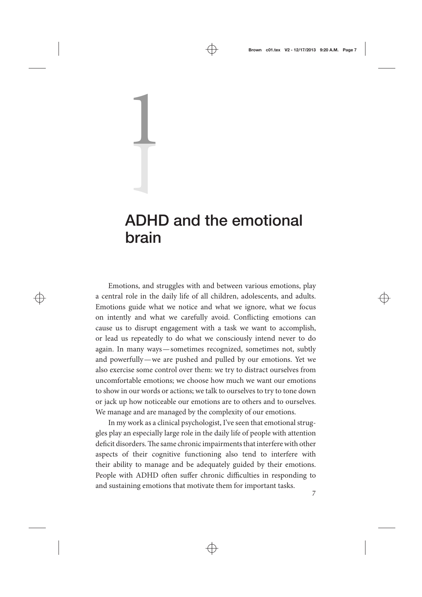## **ADHD and the emotional brain**

1

Emotions, and struggles with and between various emotions, play a central role in the daily life of all children, adolescents, and adults. Emotions guide what we notice and what we ignore, what we focus on intently and what we carefully avoid. Conflicting emotions can cause us to disrupt engagement with a task we want to accomplish, or lead us repeatedly to do what we consciously intend never to do again. In many ways—sometimes recognized, sometimes not, subtly and powerfully—we are pushed and pulled by our emotions. Yet we also exercise some control over them: we try to distract ourselves from uncomfortable emotions; we choose how much we want our emotions to show in our words or actions; we talk to ourselves to try to tone down or jack up how noticeable our emotions are to others and to ourselves. We manage and are managed by the complexity of our emotions.

In my work as a clinical psychologist, I've seen that emotional struggles play an especially large role in the daily life of people with attention deficit disorders.The same chronic impairments that interfere with other aspects of their cognitive functioning also tend to interfere with their ability to manage and be adequately guided by their emotions. People with ADHD often suffer chronic difficulties in responding to and sustaining emotions that motivate them for important tasks.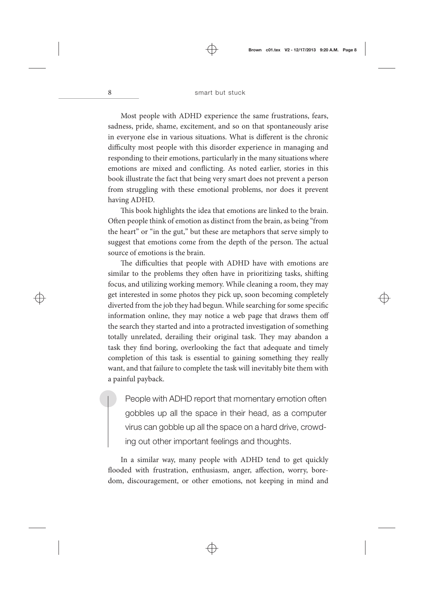Most people with ADHD experience the same frustrations, fears, sadness, pride, shame, excitement, and so on that spontaneously arise in everyone else in various situations. What is different is the chronic difficulty most people with this disorder experience in managing and responding to their emotions, particularly in the many situations where emotions are mixed and conflicting. As noted earlier, stories in this book illustrate the fact that being very smart does not prevent a person from struggling with these emotional problems, nor does it prevent having ADHD.

This book highlights the idea that emotions are linked to the brain. Often people think of emotion as distinct from the brain, as being "from the heart" or "in the gut," but these are metaphors that serve simply to suggest that emotions come from the depth of the person. The actual source of emotions is the brain.

The difficulties that people with ADHD have with emotions are similar to the problems they often have in prioritizing tasks, shifting focus, and utilizing working memory. While cleaning a room, they may get interested in some photos they pick up, soon becoming completely diverted from the job they had begun. While searching for some specific information online, they may notice a web page that draws them off the search they started and into a protracted investigation of something totally unrelated, derailing their original task. They may abandon a task they find boring, overlooking the fact that adequate and timely completion of this task is essential to gaining something they really want, and that failure to complete the task will inevitably bite them with a painful payback.

People with ADHD report that momentary emotion often gobbles up all the space in their head, as a computer virus can gobble up all the space on a hard drive, crowding out other important feelings and thoughts.

In a similar way, many people with ADHD tend to get quickly flooded with frustration, enthusiasm, anger, affection, worry, boredom, discouragement, or other emotions, not keeping in mind and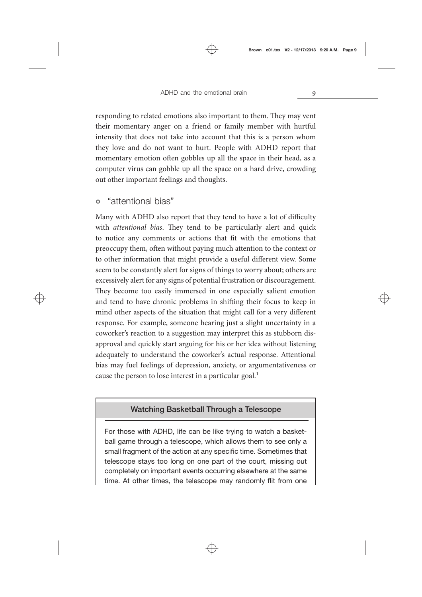responding to related emotions also important to them. They may vent their momentary anger on a friend or family member with hurtful intensity that does not take into account that this is a person whom they love and do not want to hurt. People with ADHD report that momentary emotion often gobbles up all the space in their head, as a computer virus can gobble up all the space on a hard drive, crowding out other important feelings and thoughts.

#### **°** "attentional bias"

Many with ADHD also report that they tend to have a lot of difficulty with *attentional bias*. They tend to be particularly alert and quick to notice any comments or actions that fit with the emotions that preoccupy them, often without paying much attention to the context or to other information that might provide a useful different view. Some seem to be constantly alert for signs of things to worry about; others are excessively alert for any signs of potential frustration or discouragement. They become too easily immersed in one especially salient emotion and tend to have chronic problems in shifting their focus to keep in mind other aspects of the situation that might call for a very different response. For example, someone hearing just a slight uncertainty in a coworker's reaction to a suggestion may interpret this as stubborn disapproval and quickly start arguing for his or her idea without listening adequately to understand the coworker's actual response. Attentional bias may fuel feelings of depression, anxiety, or argumentativeness or cause the person to lose interest in a particular goal.<sup>1</sup>

#### **Watching Basketball Through a Telescope**

For those with ADHD, life can be like trying to watch a basketball game through a telescope, which allows them to see only a small fragment of the action at any specific time. Sometimes that telescope stays too long on one part of the court, missing out completely on important events occurring elsewhere at the same time. At other times, the telescope may randomly flit from one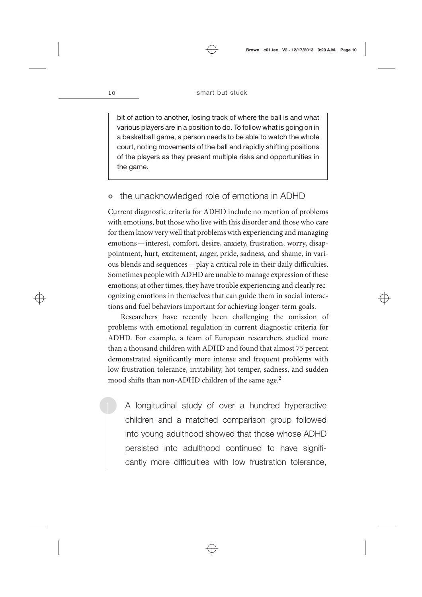bit of action to another, losing track of where the ball is and what various players are in a position to do. To follow what is going on in a basketball game, a person needs to be able to watch the whole court, noting movements of the ball and rapidly shifting positions of the players as they present multiple risks and opportunities in the game.

### **°** the unacknowledged role of emotions in ADHD

Current diagnostic criteria for ADHD include no mention of problems with emotions, but those who live with this disorder and those who care for them know very well that problems with experiencing and managing emotions—interest, comfort, desire, anxiety, frustration, worry, disappointment, hurt, excitement, anger, pride, sadness, and shame, in various blends and sequences—play a critical role in their daily difficulties. Sometimes people with ADHD are unable to manage expression of these emotions; at other times, they have trouble experiencing and clearly recognizing emotions in themselves that can guide them in social interactions and fuel behaviors important for achieving longer-term goals.

Researchers have recently been challenging the omission of problems with emotional regulation in current diagnostic criteria for ADHD. For example, a team of European researchers studied more than a thousand children with ADHD and found that almost 75 percent demonstrated significantly more intense and frequent problems with low frustration tolerance, irritability, hot temper, sadness, and sudden mood shifts than non-ADHD children of the same age.<sup>2</sup>

A longitudinal study of over a hundred hyperactive children and a matched comparison group followed into young adulthood showed that those whose ADHD persisted into adulthood continued to have significantly more difficulties with low frustration tolerance,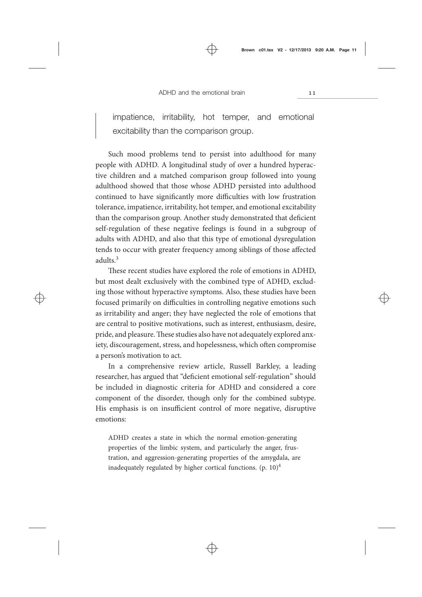impatience, irritability, hot temper, and emotional excitability than the comparison group.

Such mood problems tend to persist into adulthood for many people with ADHD. A longitudinal study of over a hundred hyperactive children and a matched comparison group followed into young adulthood showed that those whose ADHD persisted into adulthood continued to have significantly more difficulties with low frustration tolerance, impatience, irritability, hot temper, and emotional excitability than the comparison group. Another study demonstrated that deficient self-regulation of these negative feelings is found in a subgroup of adults with ADHD, and also that this type of emotional dysregulation tends to occur with greater frequency among siblings of those affected adults.<sup>3</sup>

These recent studies have explored the role of emotions in ADHD, but most dealt exclusively with the combined type of ADHD, excluding those without hyperactive symptoms. Also, these studies have been focused primarily on difficulties in controlling negative emotions such as irritability and anger; they have neglected the role of emotions that are central to positive motivations, such as interest, enthusiasm, desire, pride, and pleasure.These studies also have not adequately explored anxiety, discouragement, stress, and hopelessness, which often compromise a person's motivation to act.

In a comprehensive review article, Russell Barkley, a leading researcher, has argued that "deficient emotional self-regulation" should be included in diagnostic criteria for ADHD and considered a core component of the disorder, though only for the combined subtype. His emphasis is on insufficient control of more negative, disruptive emotions:

ADHD creates a state in which the normal emotion-generating properties of the limbic system, and particularly the anger, frustration, and aggression-generating properties of the amygdala, are inadequately regulated by higher cortical functions.  $(p. 10)<sup>4</sup>$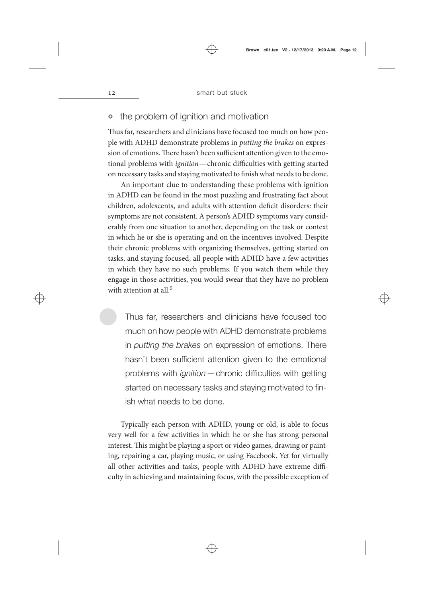#### **°** the problem of ignition and motivation

Thus far, researchers and clinicians have focused too much on how people with ADHD demonstrate problems in *putting the brakes* on expression of emotions.There hasn't been sufficient attention given to the emotional problems with *ignition*—chronic difficulties with getting started on necessary tasks and staying motivated to finish what needs to be done.

An important clue to understanding these problems with ignition in ADHD can be found in the most puzzling and frustrating fact about children, adolescents, and adults with attention deficit disorders: their symptoms are not consistent. A person's ADHD symptoms vary considerably from one situation to another, depending on the task or context in which he or she is operating and on the incentives involved. Despite their chronic problems with organizing themselves, getting started on tasks, and staying focused, all people with ADHD have a few activities in which they have no such problems. If you watch them while they engage in those activities, you would swear that they have no problem with attention at all.<sup>5</sup>

Thus far, researchers and clinicians have focused too much on how people with ADHD demonstrate problems in putting the brakes on expression of emotions. There hasn't been sufficient attention given to the emotional problems with ignition—chronic difficulties with getting started on necessary tasks and staying motivated to finish what needs to be done.

Typically each person with ADHD, young or old, is able to focus very well for a few activities in which he or she has strong personal interest. This might be playing a sport or video games, drawing or painting, repairing a car, playing music, or using Facebook. Yet for virtually all other activities and tasks, people with ADHD have extreme difficulty in achieving and maintaining focus, with the possible exception of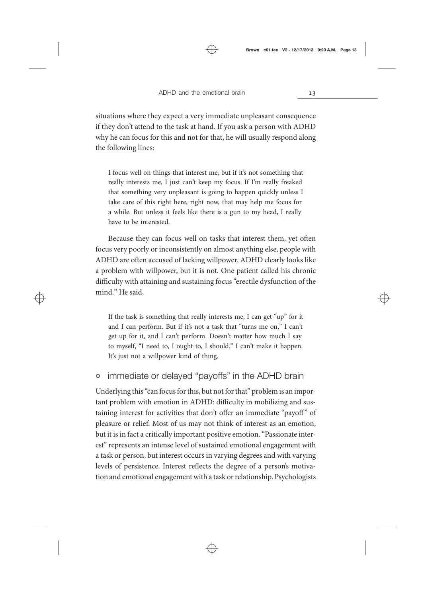situations where they expect a very immediate unpleasant consequence if they don't attend to the task at hand. If you ask a person with ADHD why he can focus for this and not for that, he will usually respond along the following lines:

I focus well on things that interest me, but if it's not something that really interests me, I just can't keep my focus. If I'm really freaked that something very unpleasant is going to happen quickly unless I take care of this right here, right now, that may help me focus for a while. But unless it feels like there is a gun to my head, I really have to be interested.

Because they can focus well on tasks that interest them, yet often focus very poorly or inconsistently on almost anything else, people with ADHD are often accused of lacking willpower. ADHD clearly looks like a problem with willpower, but it is not. One patient called his chronic difficulty with attaining and sustaining focus "erectile dysfunction of the mind." He said,

If the task is something that really interests me, I can get "up" for it and I can perform. But if it's not a task that "turns me on," I can't get up for it, and I can't perform. Doesn't matter how much I say to myself, "I need to, I ought to, I should." I can't make it happen. It's just not a willpower kind of thing.

### **°** immediate or delayed "payoffs" in the ADHD brain

Underlying this "can focus for this, but not for that" problem is an important problem with emotion in ADHD: difficulty in mobilizing and sustaining interest for activities that don't offer an immediate "payoff" of pleasure or relief. Most of us may not think of interest as an emotion, but it is in fact a critically important positive emotion. "Passionate interest" represents an intense level of sustained emotional engagement with a task or person, but interest occurs in varying degrees and with varying levels of persistence. Interest reflects the degree of a person's motivation and emotional engagement with a task or relationship. Psychologists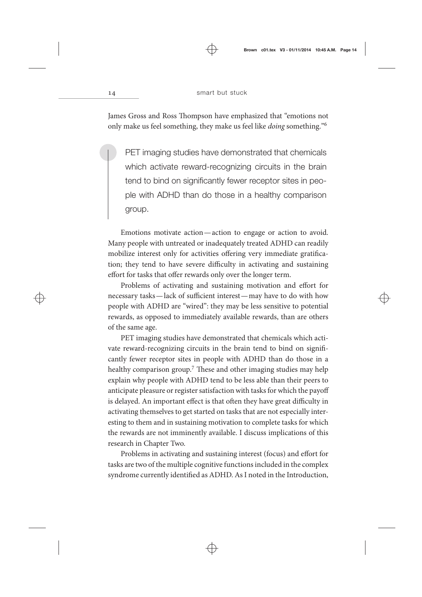James Gross and Ross Thompson have emphasized that "emotions not only make us feel something, they make us feel like *doing* something."6

PET imaging studies have demonstrated that chemicals which activate reward-recognizing circuits in the brain tend to bind on significantly fewer receptor sites in people with ADHD than do those in a healthy comparison group.

Emotions motivate action—action to engage or action to avoid. Many people with untreated or inadequately treated ADHD can readily mobilize interest only for activities offering very immediate gratification; they tend to have severe difficulty in activating and sustaining effort for tasks that offer rewards only over the longer term.

Problems of activating and sustaining motivation and effort for necessary tasks—lack of sufficient interest—may have to do with how people with ADHD are "wired": they may be less sensitive to potential rewards, as opposed to immediately available rewards, than are others of the same age.

PET imaging studies have demonstrated that chemicals which activate reward-recognizing circuits in the brain tend to bind on significantly fewer receptor sites in people with ADHD than do those in a healthy comparison group.<sup>7</sup> These and other imaging studies may help explain why people with ADHD tend to be less able than their peers to anticipate pleasure or register satisfaction with tasks for which the payoff is delayed. An important effect is that often they have great difficulty in activating themselves to get started on tasks that are not especially interesting to them and in sustaining motivation to complete tasks for which the rewards are not imminently available. I discuss implications of this research in Chapter Two.

Problems in activating and sustaining interest (focus) and effort for tasks are two of the multiple cognitive functions included in the complex syndrome currently identified as ADHD. As I noted in the Introduction,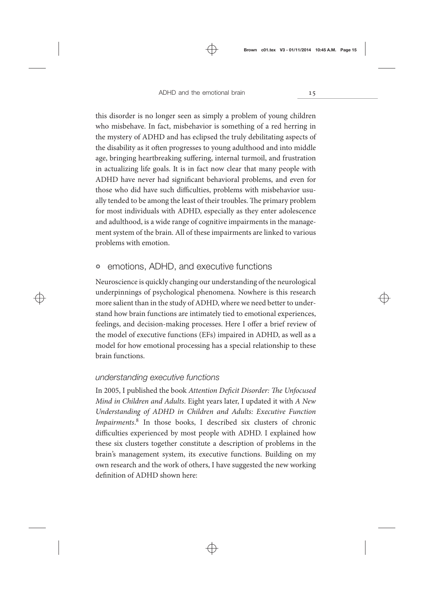this disorder is no longer seen as simply a problem of young children who misbehave. In fact, misbehavior is something of a red herring in the mystery of ADHD and has eclipsed the truly debilitating aspects of the disability as it often progresses to young adulthood and into middle age, bringing heartbreaking suffering, internal turmoil, and frustration in actualizing life goals. It is in fact now clear that many people with ADHD have never had significant behavioral problems, and even for those who did have such difficulties, problems with misbehavior usually tended to be among the least of their troubles. The primary problem for most individuals with ADHD, especially as they enter adolescence and adulthood, is a wide range of cognitive impairments in the management system of the brain. All of these impairments are linked to various problems with emotion.

### **°** emotions, ADHD, and executive functions

Neuroscience is quickly changing our understanding of the neurological underpinnings of psychological phenomena. Nowhere is this research more salient than in the study of ADHD, where we need better to understand how brain functions are intimately tied to emotional experiences, feelings, and decision-making processes. Here I offer a brief review of the model of executive functions (EFs) impaired in ADHD, as well as a model for how emotional processing has a special relationship to these brain functions.

#### understanding executive functions

In 2005, I published the book *Attention Deficit Disorder: The Unfocused Mind in Children and Adults*. Eight years later, I updated it with *A New Understanding of ADHD in Children and Adults: Executive Function Impairments*. <sup>8</sup> In those books, I described six clusters of chronic difficulties experienced by most people with ADHD. I explained how these six clusters together constitute a description of problems in the brain's management system, its executive functions. Building on my own research and the work of others, I have suggested the new working definition of ADHD shown here: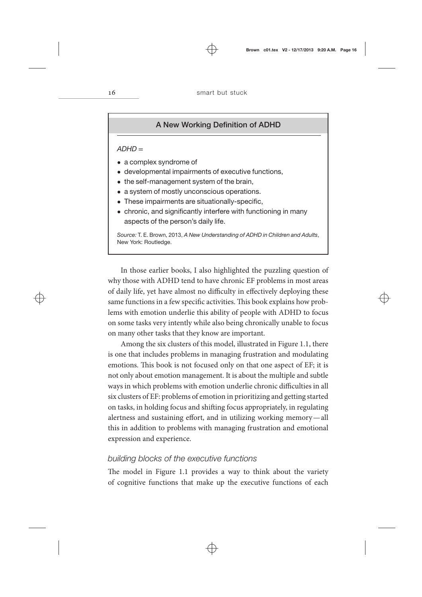#### **A New Working Definition of ADHD**

#### $ADHD =$

- a complex syndrome of
- developmental impairments of executive functions,
- the self-management system of the brain,
- a system of mostly unconscious operations.
- These impairments are situationally-specific,
- chronic, and significantly interfere with functioning in many aspects of the person's daily life.

Source: T. E. Brown, 2013, A New Understanding of ADHD in Children and Adults, New York: Routledge.

In those earlier books, I also highlighted the puzzling question of why those with ADHD tend to have chronic EF problems in most areas of daily life, yet have almost no difficulty in effectively deploying these same functions in a few specific activities. This book explains how problems with emotion underlie this ability of people with ADHD to focus on some tasks very intently while also being chronically unable to focus on many other tasks that they know are important.

Among the six clusters of this model, illustrated in Figure 1.1, there is one that includes problems in managing frustration and modulating emotions. This book is not focused only on that one aspect of EF; it is not only about emotion management. It is about the multiple and subtle ways in which problems with emotion underlie chronic difficulties in all six clusters of EF: problems of emotion in prioritizing and getting started on tasks, in holding focus and shifting focus appropriately, in regulating alertness and sustaining effort, and in utilizing working memory—all this in addition to problems with managing frustration and emotional expression and experience.

#### building blocks of the executive functions

The model in Figure 1.1 provides a way to think about the variety of cognitive functions that make up the executive functions of each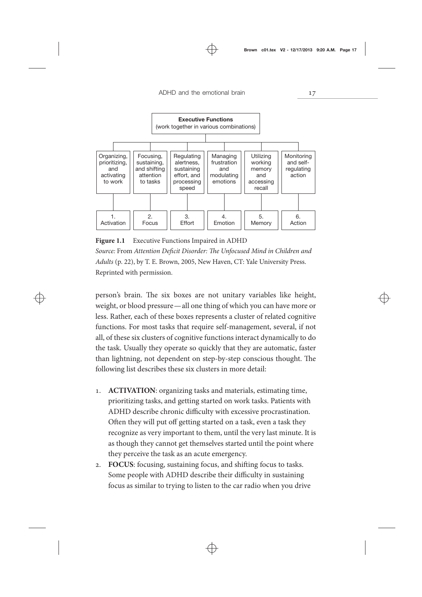

**Figure 1.1** Executive Functions Impaired in ADHD *Source:* From *Attention Deficit Disorder: The Unfocused Mind in Children and Adults* (p. 22), by T. E. Brown, 2005, New Haven, CT: Yale University Press. Reprinted with permission.

person's brain. The six boxes are not unitary variables like height, weight, or blood pressure—all one thing of which you can have more or less. Rather, each of these boxes represents a cluster of related cognitive functions. For most tasks that require self-management, several, if not all, of these six clusters of cognitive functions interact dynamically to do the task. Usually they operate so quickly that they are automatic, faster than lightning, not dependent on step-by-step conscious thought. The following list describes these six clusters in more detail:

- . **ACTIVATION**: organizing tasks and materials, estimating time, prioritizing tasks, and getting started on work tasks. Patients with ADHD describe chronic difficulty with excessive procrastination. Often they will put off getting started on a task, even a task they recognize as very important to them, until the very last minute. It is as though they cannot get themselves started until the point where they perceive the task as an acute emergency.
- . **FOCUS**: focusing, sustaining focus, and shifting focus to tasks. Some people with ADHD describe their difficulty in sustaining focus as similar to trying to listen to the car radio when you drive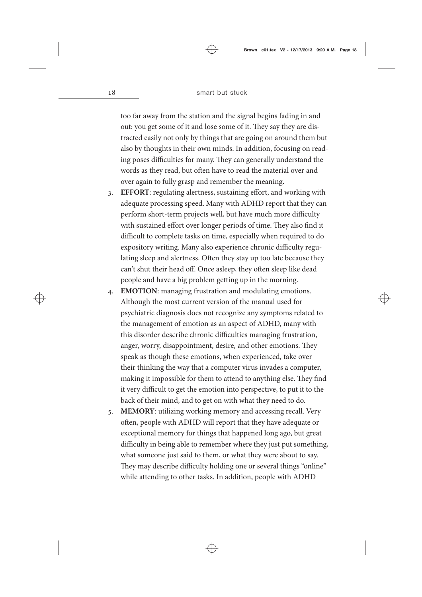too far away from the station and the signal begins fading in and out: you get some of it and lose some of it. They say they are distracted easily not only by things that are going on around them but also by thoughts in their own minds. In addition, focusing on reading poses difficulties for many. They can generally understand the words as they read, but often have to read the material over and over again to fully grasp and remember the meaning.

- . **EFFORT**: regulating alertness, sustaining effort, and working with adequate processing speed. Many with ADHD report that they can perform short-term projects well, but have much more difficulty with sustained effort over longer periods of time. They also find it difficult to complete tasks on time, especially when required to do expository writing. Many also experience chronic difficulty regulating sleep and alertness. Often they stay up too late because they can't shut their head off. Once asleep, they often sleep like dead people and have a big problem getting up in the morning.
- . **EMOTION**: managing frustration and modulating emotions. Although the most current version of the manual used for psychiatric diagnosis does not recognize any symptoms related to the management of emotion as an aspect of ADHD, many with this disorder describe chronic difficulties managing frustration, anger, worry, disappointment, desire, and other emotions. They speak as though these emotions, when experienced, take over their thinking the way that a computer virus invades a computer, making it impossible for them to attend to anything else. They find it very difficult to get the emotion into perspective, to put it to the back of their mind, and to get on with what they need to do.
- . **MEMORY**: utilizing working memory and accessing recall. Very often, people with ADHD will report that they have adequate or exceptional memory for things that happened long ago, but great difficulty in being able to remember where they just put something, what someone just said to them, or what they were about to say. They may describe difficulty holding one or several things "online" while attending to other tasks. In addition, people with ADHD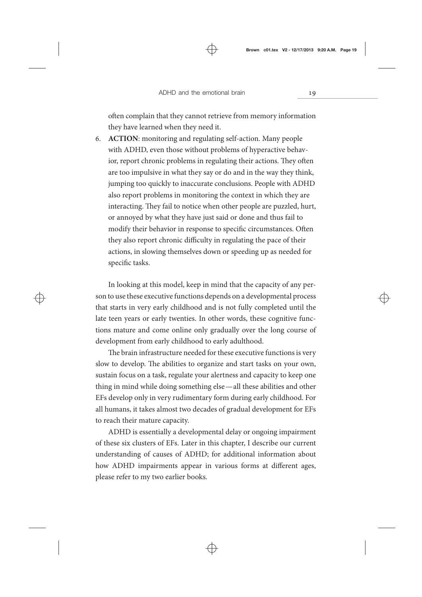often complain that they cannot retrieve from memory information they have learned when they need it.

. **ACTION**: monitoring and regulating self-action. Many people with ADHD, even those without problems of hyperactive behavior, report chronic problems in regulating their actions. They often are too impulsive in what they say or do and in the way they think, jumping too quickly to inaccurate conclusions. People with ADHD also report problems in monitoring the context in which they are interacting. They fail to notice when other people are puzzled, hurt, or annoyed by what they have just said or done and thus fail to modify their behavior in response to specific circumstances. Often they also report chronic difficulty in regulating the pace of their actions, in slowing themselves down or speeding up as needed for specific tasks.

In looking at this model, keep in mind that the capacity of any person to use these executive functions depends on a developmental process that starts in very early childhood and is not fully completed until the late teen years or early twenties. In other words, these cognitive functions mature and come online only gradually over the long course of development from early childhood to early adulthood.

The brain infrastructure needed for these executive functions is very slow to develop. The abilities to organize and start tasks on your own, sustain focus on a task, regulate your alertness and capacity to keep one thing in mind while doing something else—all these abilities and other EFs develop only in very rudimentary form during early childhood. For all humans, it takes almost two decades of gradual development for EFs to reach their mature capacity.

ADHD is essentially a developmental delay or ongoing impairment of these six clusters of EFs. Later in this chapter, I describe our current understanding of causes of ADHD; for additional information about how ADHD impairments appear in various forms at different ages, please refer to my two earlier books.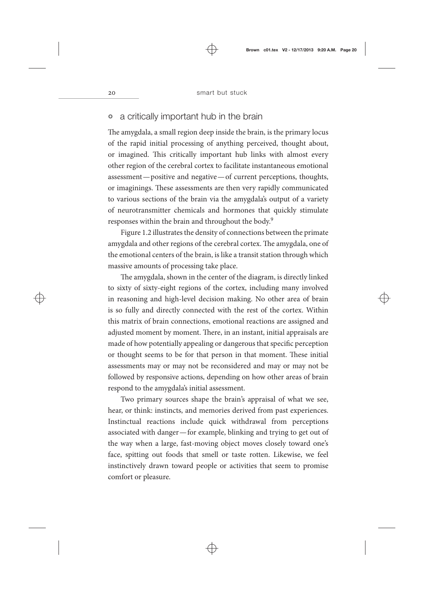#### **°** a critically important hub in the brain

The amygdala, a small region deep inside the brain, is the primary locus of the rapid initial processing of anything perceived, thought about, or imagined. This critically important hub links with almost every other region of the cerebral cortex to facilitate instantaneous emotional assessment—positive and negative—of current perceptions, thoughts, or imaginings. These assessments are then very rapidly communicated to various sections of the brain via the amygdala's output of a variety of neurotransmitter chemicals and hormones that quickly stimulate responses within the brain and throughout the body.<sup>9</sup>

Figure 1.2 illustrates the density of connections between the primate amygdala and other regions of the cerebral cortex. The amygdala, one of the emotional centers of the brain, is like a transit station through which massive amounts of processing take place.

The amygdala, shown in the center of the diagram, is directly linked to sixty of sixty-eight regions of the cortex, including many involved in reasoning and high-level decision making. No other area of brain is so fully and directly connected with the rest of the cortex. Within this matrix of brain connections, emotional reactions are assigned and adjusted moment by moment. There, in an instant, initial appraisals are made of how potentially appealing or dangerous that specific perception or thought seems to be for that person in that moment. These initial assessments may or may not be reconsidered and may or may not be followed by responsive actions, depending on how other areas of brain respond to the amygdala's initial assessment.

Two primary sources shape the brain's appraisal of what we see, hear, or think: instincts, and memories derived from past experiences. Instinctual reactions include quick withdrawal from perceptions associated with danger—for example, blinking and trying to get out of the way when a large, fast-moving object moves closely toward one's face, spitting out foods that smell or taste rotten. Likewise, we feel instinctively drawn toward people or activities that seem to promise comfort or pleasure.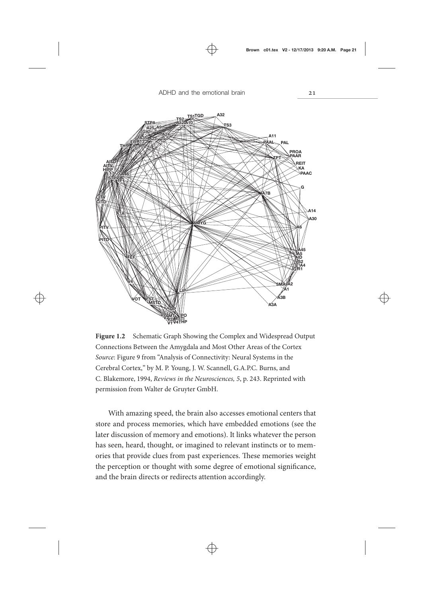

**Figure 1.2** Schematic Graph Showing the Complex and Widespread Output Connections Between the Amygdala and Most Other Areas of the Cortex *Source*: Figure 9 from "Analysis of Connectivity: Neural Systems in the Cerebral Cortex," by M. P. Young, J. W. Scannell, G.A.P.C. Burns, and C. Blakemore, 1994, *Reviews in the Neurosciences, 5*, p. 243. Reprinted with permission from Walter de Gruyter GmbH.

With amazing speed, the brain also accesses emotional centers that store and process memories, which have embedded emotions (see the later discussion of memory and emotions). It links whatever the person has seen, heard, thought, or imagined to relevant instincts or to memories that provide clues from past experiences. These memories weight the perception or thought with some degree of emotional significance, and the brain directs or redirects attention accordingly.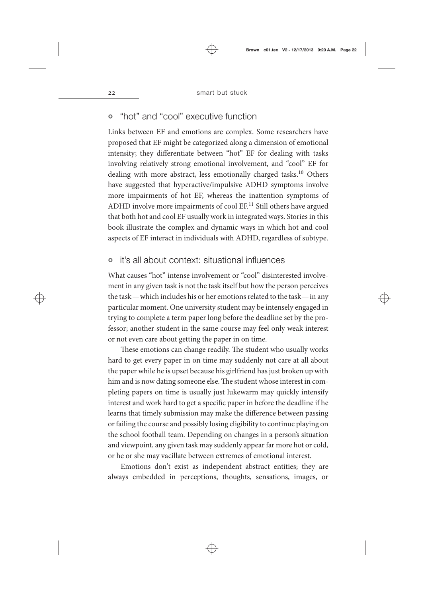### **°** "hot" and "cool" executive function

Links between EF and emotions are complex. Some researchers have proposed that EF might be categorized along a dimension of emotional intensity; they differentiate between "hot" EF for dealing with tasks involving relatively strong emotional involvement, and "cool" EF for dealing with more abstract, less emotionally charged tasks.<sup>10</sup> Others have suggested that hyperactive/impulsive ADHD symptoms involve more impairments of hot EF, whereas the inattention symptoms of ADHD involve more impairments of cool  $EF<sup>11</sup>$  Still others have argued that both hot and cool EF usually work in integrated ways. Stories in this book illustrate the complex and dynamic ways in which hot and cool aspects of EF interact in individuals with ADHD, regardless of subtype.

#### **°** it's all about context: situational influences

What causes "hot" intense involvement or "cool" disinterested involvement in any given task is not the task itself but how the person perceives the task—which includes his or her emotions related to the task—in any particular moment. One university student may be intensely engaged in trying to complete a term paper long before the deadline set by the professor; another student in the same course may feel only weak interest or not even care about getting the paper in on time.

These emotions can change readily. The student who usually works hard to get every paper in on time may suddenly not care at all about the paper while he is upset because his girlfriend has just broken up with him and is now dating someone else. The student whose interest in completing papers on time is usually just lukewarm may quickly intensify interest and work hard to get a specific paper in before the deadline if he learns that timely submission may make the difference between passing or failing the course and possibly losing eligibility to continue playing on the school football team. Depending on changes in a person's situation and viewpoint, any given task may suddenly appear far more hot or cold, or he or she may vacillate between extremes of emotional interest.

Emotions don't exist as independent abstract entities; they are always embedded in perceptions, thoughts, sensations, images, or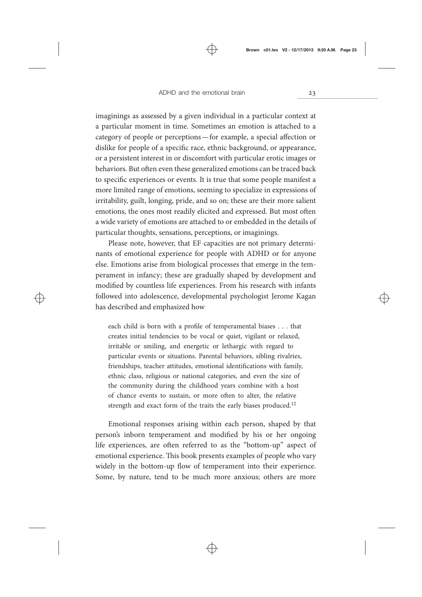imaginings as assessed by a given individual in a particular context at a particular moment in time. Sometimes an emotion is attached to a category of people or perceptions—for example, a special affection or dislike for people of a specific race, ethnic background, or appearance, or a persistent interest in or discomfort with particular erotic images or behaviors. But often even these generalized emotions can be traced back to specific experiences or events. It is true that some people manifest a more limited range of emotions, seeming to specialize in expressions of irritability, guilt, longing, pride, and so on; these are their more salient emotions, the ones most readily elicited and expressed. But most often a wide variety of emotions are attached to or embedded in the details of particular thoughts, sensations, perceptions, or imaginings.

Please note, however, that EF capacities are not primary determinants of emotional experience for people with ADHD or for anyone else. Emotions arise from biological processes that emerge in the temperament in infancy; these are gradually shaped by development and modified by countless life experiences. From his research with infants followed into adolescence, developmental psychologist Jerome Kagan has described and emphasized how

each child is born with a profile of temperamental biases . . . that creates initial tendencies to be vocal or quiet, vigilant or relaxed, irritable or smiling, and energetic or lethargic with regard to particular events or situations. Parental behaviors, sibling rivalries, friendships, teacher attitudes, emotional identifications with family, ethnic class, religious or national categories, and even the size of the community during the childhood years combine with a host of chance events to sustain, or more often to alter, the relative strength and exact form of the traits the early biases produced.<sup>12</sup>

Emotional responses arising within each person, shaped by that person's inborn temperament and modified by his or her ongoing life experiences, are often referred to as the "bottom-up" aspect of emotional experience. This book presents examples of people who vary widely in the bottom-up flow of temperament into their experience. Some, by nature, tend to be much more anxious; others are more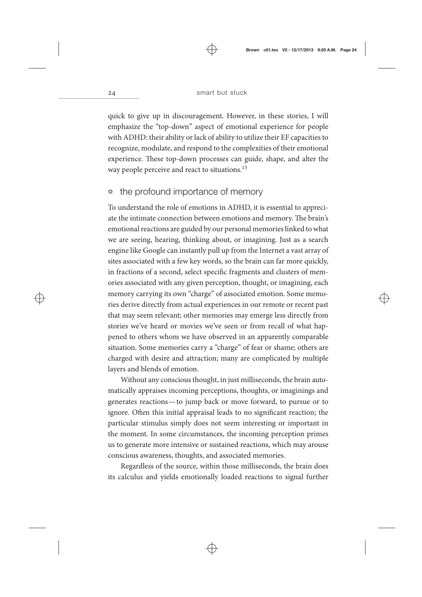quick to give up in discouragement. However, in these stories, I will emphasize the "top-down" aspect of emotional experience for people with ADHD: their ability or lack of ability to utilize their EF capacities to recognize, modulate, and respond to the complexities of their emotional experience. These top-down processes can guide, shape, and alter the way people perceive and react to situations.<sup>13</sup>

#### **°** the profound importance of memory

To understand the role of emotions in ADHD, it is essential to appreciate the intimate connection between emotions and memory. The brain's emotional reactions are guided by our personal memories linked to what we are seeing, hearing, thinking about, or imagining. Just as a search engine like Google can instantly pull up from the Internet a vast array of sites associated with a few key words, so the brain can far more quickly, in fractions of a second, select specific fragments and clusters of memories associated with any given perception, thought, or imagining, each memory carrying its own "charge" of associated emotion. Some memories derive directly from actual experiences in our remote or recent past that may seem relevant; other memories may emerge less directly from stories we've heard or movies we've seen or from recall of what happened to others whom we have observed in an apparently comparable situation. Some memories carry a "charge" of fear or shame; others are charged with desire and attraction; many are complicated by multiple layers and blends of emotion.

Without any conscious thought, in just milliseconds, the brain automatically appraises incoming perceptions, thoughts, or imaginings and generates reactions— to jump back or move forward, to pursue or to ignore. Often this initial appraisal leads to no significant reaction; the particular stimulus simply does not seem interesting or important in the moment. In some circumstances, the incoming perception primes us to generate more intensive or sustained reactions, which may arouse conscious awareness, thoughts, and associated memories.

Regardless of the source, within those milliseconds, the brain does its calculus and yields emotionally loaded reactions to signal further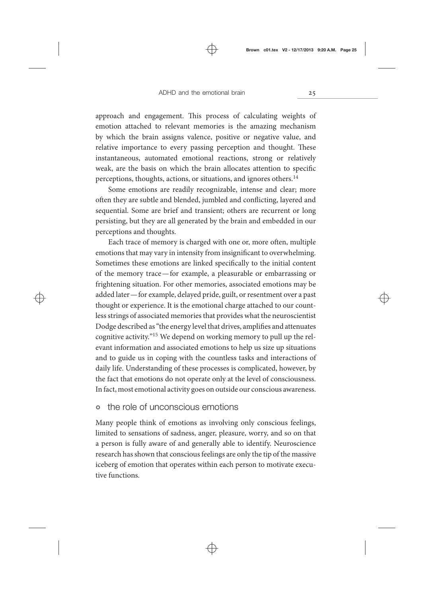approach and engagement. This process of calculating weights of emotion attached to relevant memories is the amazing mechanism by which the brain assigns valence, positive or negative value, and relative importance to every passing perception and thought. These instantaneous, automated emotional reactions, strong or relatively weak, are the basis on which the brain allocates attention to specific perceptions, thoughts, actions, or situations, and ignores others.<sup>14</sup>

Some emotions are readily recognizable, intense and clear; more often they are subtle and blended, jumbled and conflicting, layered and sequential. Some are brief and transient; others are recurrent or long persisting, but they are all generated by the brain and embedded in our perceptions and thoughts.

Each trace of memory is charged with one or, more often, multiple emotions that may vary in intensity from insignificant to overwhelming. Sometimes these emotions are linked specifically to the initial content of the memory trace—for example, a pleasurable or embarrassing or frightening situation. For other memories, associated emotions may be added later—for example, delayed pride, guilt, or resentment over a past thought or experience. It is the emotional charge attached to our countless strings of associated memories that provides what the neuroscientist Dodge described as "the energy level that drives, amplifies and attenuates cognitive activity."<sup>15</sup> We depend on working memory to pull up the relevant information and associated emotions to help us size up situations and to guide us in coping with the countless tasks and interactions of daily life. Understanding of these processes is complicated, however, by the fact that emotions do not operate only at the level of consciousness. In fact, most emotional activity goes on outside our conscious awareness.

#### **°** the role of unconscious emotions

Many people think of emotions as involving only conscious feelings, limited to sensations of sadness, anger, pleasure, worry, and so on that a person is fully aware of and generally able to identify. Neuroscience research has shown that conscious feelings are only the tip of the massive iceberg of emotion that operates within each person to motivate executive functions.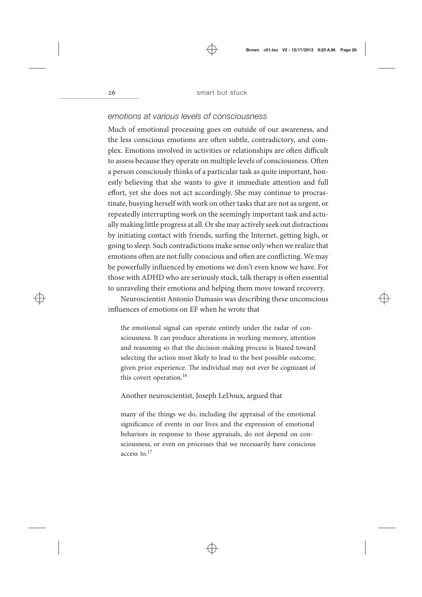#### emotions at various levels of consciousness

Much of emotional processing goes on outside of our awareness, and the less conscious emotions are often subtle, contradictory, and complex. Emotions involved in activities or relationships are often difficult to assess because they operate on multiple levels of consciousness. Often a person consciously thinks of a particular task as quite important, honestly believing that she wants to give it immediate attention and full effort, yet she does not act accordingly. She may continue to procrastinate, busying herself with work on other tasks that are not as urgent, or repeatedly interrupting work on the seemingly important task and actually making little progress at all. Or she may actively seek out distractions by initiating contact with friends, surfing the Internet, getting high, or going to sleep. Such contradictions make sense only when we realize that emotions often are not fully conscious and often are conflicting. We may be powerfully influenced by emotions we don't even know we have. For those with ADHD who are seriously stuck, talk therapy is often essential to unraveling their emotions and helping them move toward recovery.

Neuroscientist Antonio Damasio was describing these unconscious influences of emotions on EF when he wrote that

the emotional signal can operate entirely under the radar of consciousness. It can produce alterations in working memory, attention and reasoning so that the decision-making process is biased toward selecting the action most likely to lead to the best possible outcome, given prior experience. The individual may not ever be cognizant of this covert operation.16

#### Another neuroscientist, Joseph LeDoux, argued that

many of the things we do, including the appraisal of the emotional significance of events in our lives and the expression of emotional behaviors in response to those appraisals, do not depend on consciousness, or even on processes that we necessarily have conscious access to.17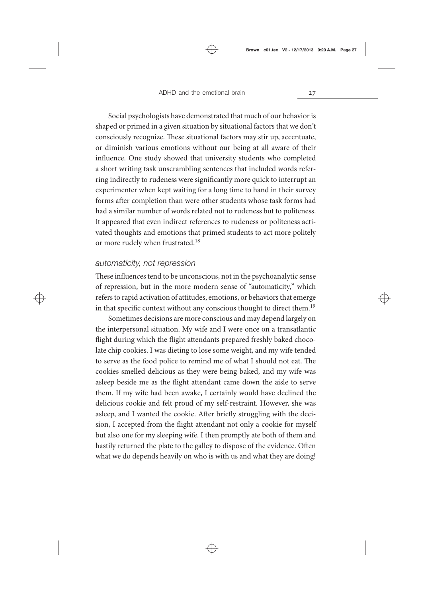Social psychologists have demonstrated that much of our behavior is shaped or primed in a given situation by situational factors that we don't consciously recognize. These situational factors may stir up, accentuate, or diminish various emotions without our being at all aware of their influence. One study showed that university students who completed a short writing task unscrambling sentences that included words referring indirectly to rudeness were significantly more quick to interrupt an experimenter when kept waiting for a long time to hand in their survey forms after completion than were other students whose task forms had had a similar number of words related not to rudeness but to politeness. It appeared that even indirect references to rudeness or politeness activated thoughts and emotions that primed students to act more politely or more rudely when frustrated.<sup>18</sup>

#### automaticity, not repression

These influences tend to be unconscious, not in the psychoanalytic sense of repression, but in the more modern sense of "automaticity," which refers to rapid activation of attitudes, emotions, or behaviors that emerge in that specific context without any conscious thought to direct them.<sup>19</sup>

Sometimes decisions are more conscious and may depend largely on the interpersonal situation. My wife and I were once on a transatlantic flight during which the flight attendants prepared freshly baked chocolate chip cookies. I was dieting to lose some weight, and my wife tended to serve as the food police to remind me of what I should not eat. The cookies smelled delicious as they were being baked, and my wife was asleep beside me as the flight attendant came down the aisle to serve them. If my wife had been awake, I certainly would have declined the delicious cookie and felt proud of my self-restraint. However, she was asleep, and I wanted the cookie. After briefly struggling with the decision, I accepted from the flight attendant not only a cookie for myself but also one for my sleeping wife. I then promptly ate both of them and hastily returned the plate to the galley to dispose of the evidence. Often what we do depends heavily on who is with us and what they are doing!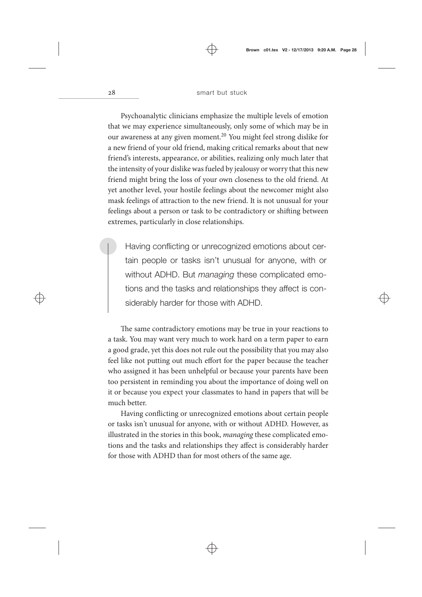Psychoanalytic clinicians emphasize the multiple levels of emotion that we may experience simultaneously, only some of which may be in our awareness at any given moment.<sup>20</sup> You might feel strong dislike for a new friend of your old friend, making critical remarks about that new friend's interests, appearance, or abilities, realizing only much later that the intensity of your dislike was fueled by jealousy or worry that this new friend might bring the loss of your own closeness to the old friend. At yet another level, your hostile feelings about the newcomer might also mask feelings of attraction to the new friend. It is not unusual for your feelings about a person or task to be contradictory or shifting between extremes, particularly in close relationships.

Having conflicting or unrecognized emotions about certain people or tasks isn't unusual for anyone, with or without ADHD. But managing these complicated emotions and the tasks and relationships they affect is considerably harder for those with ADHD.

The same contradictory emotions may be true in your reactions to a task. You may want very much to work hard on a term paper to earn a good grade, yet this does not rule out the possibility that you may also feel like not putting out much effort for the paper because the teacher who assigned it has been unhelpful or because your parents have been too persistent in reminding you about the importance of doing well on it or because you expect your classmates to hand in papers that will be much better.

Having conflicting or unrecognized emotions about certain people or tasks isn't unusual for anyone, with or without ADHD. However, as illustrated in the stories in this book, *managing* these complicated emotions and the tasks and relationships they affect is considerably harder for those with ADHD than for most others of the same age.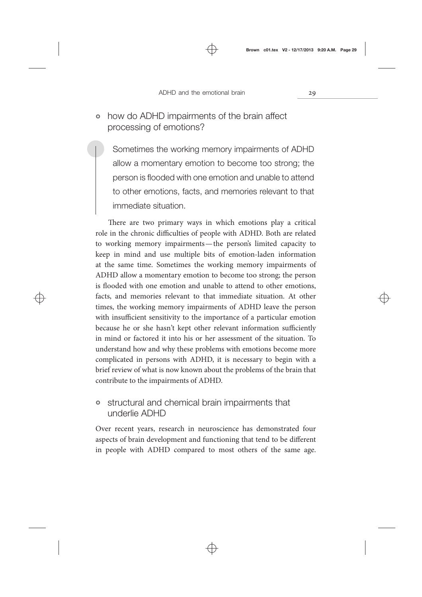**°** how do ADHD impairments of the brain affect processing of emotions?

Sometimes the working memory impairments of ADHD allow a momentary emotion to become too strong; the person is flooded with one emotion and unable to attend to other emotions, facts, and memories relevant to that immediate situation.

There are two primary ways in which emotions play a critical role in the chronic difficulties of people with ADHD. Both are related to working memory impairments— the person's limited capacity to keep in mind and use multiple bits of emotion-laden information at the same time. Sometimes the working memory impairments of ADHD allow a momentary emotion to become too strong; the person is flooded with one emotion and unable to attend to other emotions, facts, and memories relevant to that immediate situation. At other times, the working memory impairments of ADHD leave the person with insufficient sensitivity to the importance of a particular emotion because he or she hasn't kept other relevant information sufficiently in mind or factored it into his or her assessment of the situation. To understand how and why these problems with emotions become more complicated in persons with ADHD, it is necessary to begin with a brief review of what is now known about the problems of the brain that contribute to the impairments of ADHD.

### **°** structural and chemical brain impairments that underlie ADHD

Over recent years, research in neuroscience has demonstrated four aspects of brain development and functioning that tend to be different in people with ADHD compared to most others of the same age.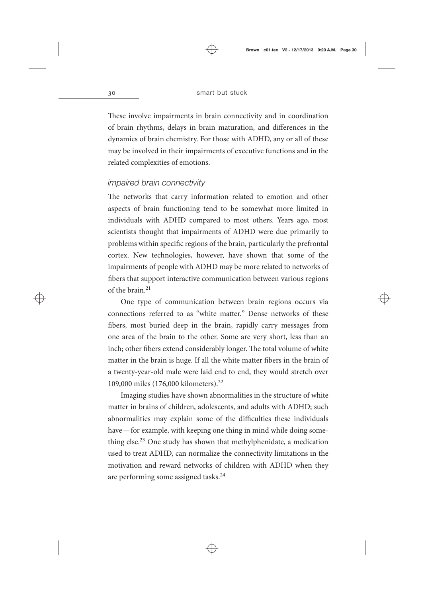These involve impairments in brain connectivity and in coordination of brain rhythms, delays in brain maturation, and differences in the dynamics of brain chemistry. For those with ADHD, any or all of these may be involved in their impairments of executive functions and in the related complexities of emotions.

#### impaired brain connectivity

The networks that carry information related to emotion and other aspects of brain functioning tend to be somewhat more limited in individuals with ADHD compared to most others. Years ago, most scientists thought that impairments of ADHD were due primarily to problems within specific regions of the brain, particularly the prefrontal cortex. New technologies, however, have shown that some of the impairments of people with ADHD may be more related to networks of fibers that support interactive communication between various regions of the brain  $21$ 

One type of communication between brain regions occurs via connections referred to as "white matter." Dense networks of these fibers, most buried deep in the brain, rapidly carry messages from one area of the brain to the other. Some are very short, less than an inch; other fibers extend considerably longer. The total volume of white matter in the brain is huge. If all the white matter fibers in the brain of a twenty-year-old male were laid end to end, they would stretch over 109,000 miles (176,000 kilometers).22

Imaging studies have shown abnormalities in the structure of white matter in brains of children, adolescents, and adults with ADHD; such abnormalities may explain some of the difficulties these individuals have—for example, with keeping one thing in mind while doing something else.<sup>23</sup> One study has shown that methylphenidate, a medication used to treat ADHD, can normalize the connectivity limitations in the motivation and reward networks of children with ADHD when they are performing some assigned tasks.24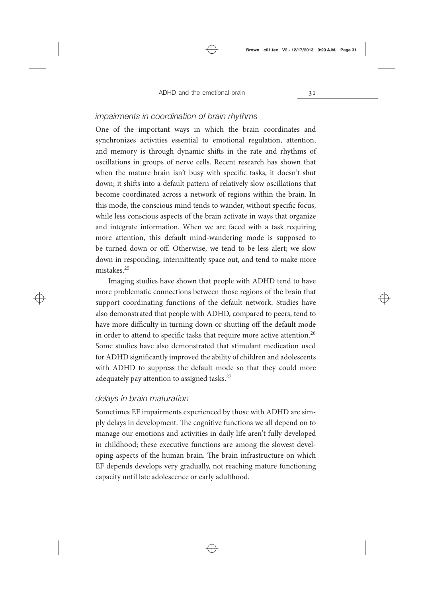#### impairments in coordination of brain rhythms

One of the important ways in which the brain coordinates and synchronizes activities essential to emotional regulation, attention, and memory is through dynamic shifts in the rate and rhythms of oscillations in groups of nerve cells. Recent research has shown that when the mature brain isn't busy with specific tasks, it doesn't shut down; it shifts into a default pattern of relatively slow oscillations that become coordinated across a network of regions within the brain. In this mode, the conscious mind tends to wander, without specific focus, while less conscious aspects of the brain activate in ways that organize and integrate information. When we are faced with a task requiring more attention, this default mind-wandering mode is supposed to be turned down or off. Otherwise, we tend to be less alert; we slow down in responding, intermittently space out, and tend to make more mistakes.<sup>25</sup>

Imaging studies have shown that people with ADHD tend to have more problematic connections between those regions of the brain that support coordinating functions of the default network. Studies have also demonstrated that people with ADHD, compared to peers, tend to have more difficulty in turning down or shutting off the default mode in order to attend to specific tasks that require more active attention.<sup>26</sup> Some studies have also demonstrated that stimulant medication used for ADHD significantly improved the ability of children and adolescents with ADHD to suppress the default mode so that they could more adequately pay attention to assigned tasks.<sup>27</sup>

#### delays in brain maturation

Sometimes EF impairments experienced by those with ADHD are simply delays in development. The cognitive functions we all depend on to manage our emotions and activities in daily life aren't fully developed in childhood; these executive functions are among the slowest developing aspects of the human brain. The brain infrastructure on which EF depends develops very gradually, not reaching mature functioning capacity until late adolescence or early adulthood.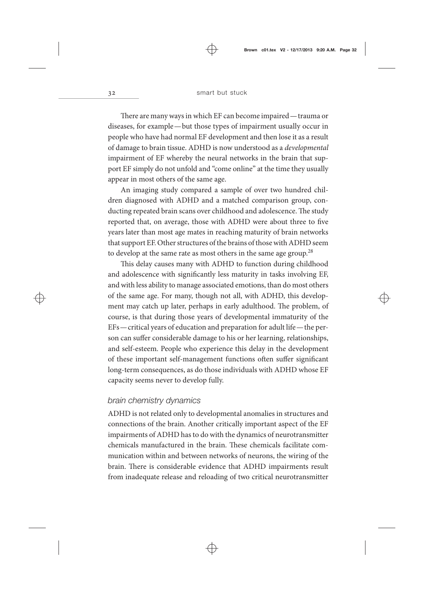There are many ways in which EF can become impaired— trauma or diseases, for example—but those types of impairment usually occur in people who have had normal EF development and then lose it as a result of damage to brain tissue. ADHD is now understood as a *developmental* impairment of EF whereby the neural networks in the brain that support EF simply do not unfold and "come online" at the time they usually appear in most others of the same age.

An imaging study compared a sample of over two hundred children diagnosed with ADHD and a matched comparison group, conducting repeated brain scans over childhood and adolescence. The study reported that, on average, those with ADHD were about three to five years later than most age mates in reaching maturity of brain networks that support EF. Other structures of the brains of those with ADHD seem to develop at the same rate as most others in the same age group.<sup>28</sup>

This delay causes many with ADHD to function during childhood and adolescence with significantly less maturity in tasks involving EF, and with less ability to manage associated emotions, than do most others of the same age. For many, though not all, with ADHD, this development may catch up later, perhaps in early adulthood. The problem, of course, is that during those years of developmental immaturity of the EFs—critical years of education and preparation for adult life— the person can suffer considerable damage to his or her learning, relationships, and self-esteem. People who experience this delay in the development of these important self-management functions often suffer significant long-term consequences, as do those individuals with ADHD whose EF capacity seems never to develop fully.

#### brain chemistry dynamics

ADHD is not related only to developmental anomalies in structures and connections of the brain. Another critically important aspect of the EF impairments of ADHD has to do with the dynamics of neurotransmitter chemicals manufactured in the brain. These chemicals facilitate communication within and between networks of neurons, the wiring of the brain. There is considerable evidence that ADHD impairments result from inadequate release and reloading of two critical neurotransmitter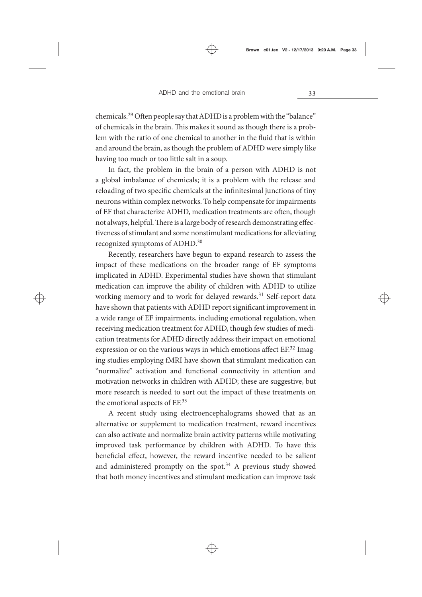chemicals.<sup>29</sup> Often people say that ADHD is a problem with the "balance" of chemicals in the brain. This makes it sound as though there is a problem with the ratio of one chemical to another in the fluid that is within and around the brain, as though the problem of ADHD were simply like having too much or too little salt in a soup.

In fact, the problem in the brain of a person with ADHD is not a global imbalance of chemicals; it is a problem with the release and reloading of two specific chemicals at the infinitesimal junctions of tiny neurons within complex networks. To help compensate for impairments of EF that characterize ADHD, medication treatments are often, though not always, helpful.There is a large body of research demonstrating effectiveness of stimulant and some nonstimulant medications for alleviating recognized symptoms of ADHD.<sup>30</sup>

Recently, researchers have begun to expand research to assess the impact of these medications on the broader range of EF symptoms implicated in ADHD. Experimental studies have shown that stimulant medication can improve the ability of children with ADHD to utilize working memory and to work for delayed rewards.<sup>31</sup> Self-report data have shown that patients with ADHD report significant improvement in a wide range of EF impairments, including emotional regulation, when receiving medication treatment for ADHD, though few studies of medication treatments for ADHD directly address their impact on emotional expression or on the various ways in which emotions affect  $EF^{32}$  Imaging studies employing fMRI have shown that stimulant medication can "normalize" activation and functional connectivity in attention and motivation networks in children with ADHD; these are suggestive, but more research is needed to sort out the impact of these treatments on the emotional aspects of EF.<sup>33</sup>

A recent study using electroencephalograms showed that as an alternative or supplement to medication treatment, reward incentives can also activate and normalize brain activity patterns while motivating improved task performance by children with ADHD. To have this beneficial effect, however, the reward incentive needed to be salient and administered promptly on the spot. $34$  A previous study showed that both money incentives and stimulant medication can improve task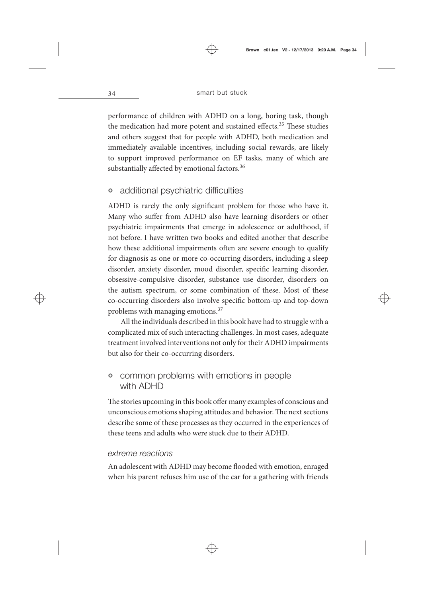performance of children with ADHD on a long, boring task, though the medication had more potent and sustained effects.<sup>35</sup> These studies and others suggest that for people with ADHD, both medication and immediately available incentives, including social rewards, are likely to support improved performance on EF tasks, many of which are substantially affected by emotional factors.<sup>36</sup>

### **°** additional psychiatric difficulties

ADHD is rarely the only significant problem for those who have it. Many who suffer from ADHD also have learning disorders or other psychiatric impairments that emerge in adolescence or adulthood, if not before. I have written two books and edited another that describe how these additional impairments often are severe enough to qualify for diagnosis as one or more co-occurring disorders, including a sleep disorder, anxiety disorder, mood disorder, specific learning disorder, obsessive-compulsive disorder, substance use disorder, disorders on the autism spectrum, or some combination of these. Most of these co-occurring disorders also involve specific bottom-up and top-down problems with managing emotions.<sup>37</sup>

All the individuals described in this book have had to struggle with a complicated mix of such interacting challenges. In most cases, adequate treatment involved interventions not only for their ADHD impairments but also for their co-occurring disorders.

### **°** common problems with emotions in people with ADHD

The stories upcoming in this book offer many examples of conscious and unconscious emotions shaping attitudes and behavior. The next sections describe some of these processes as they occurred in the experiences of these teens and adults who were stuck due to their ADHD.

#### extreme reactions

An adolescent with ADHD may become flooded with emotion, enraged when his parent refuses him use of the car for a gathering with friends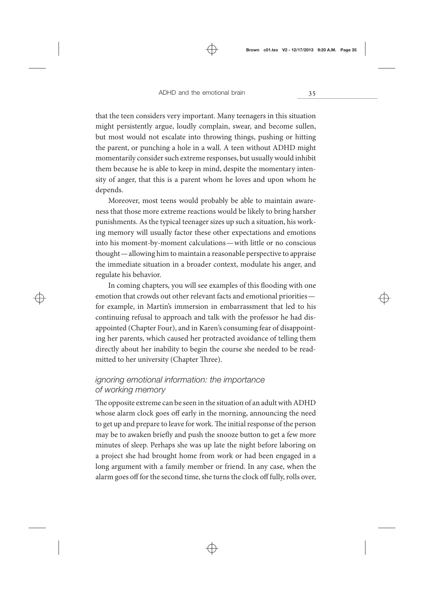that the teen considers very important. Many teenagers in this situation might persistently argue, loudly complain, swear, and become sullen, but most would not escalate into throwing things, pushing or hitting the parent, or punching a hole in a wall. A teen without ADHD might momentarily consider such extreme responses, but usually would inhibit them because he is able to keep in mind, despite the momentary intensity of anger, that this is a parent whom he loves and upon whom he depends.

Moreover, most teens would probably be able to maintain awareness that those more extreme reactions would be likely to bring harsher punishments. As the typical teenager sizes up such a situation, his working memory will usually factor these other expectations and emotions into his moment-by-moment calculations—with little or no conscious thought—allowing him to maintain a reasonable perspective to appraise the immediate situation in a broader context, modulate his anger, and regulate his behavior.

In coming chapters, you will see examples of this flooding with one emotion that crowds out other relevant facts and emotional priorities for example, in Martin's immersion in embarrassment that led to his continuing refusal to approach and talk with the professor he had disappointed (Chapter Four), and in Karen's consuming fear of disappointing her parents, which caused her protracted avoidance of telling them directly about her inability to begin the course she needed to be readmitted to her university (Chapter Three).

#### ignoring emotional information: the importance of working memory

The opposite extreme can be seen in the situation of an adult with ADHD whose alarm clock goes off early in the morning, announcing the need to get up and prepare to leave for work.The initial response of the person may be to awaken briefly and push the snooze button to get a few more minutes of sleep. Perhaps she was up late the night before laboring on a project she had brought home from work or had been engaged in a long argument with a family member or friend. In any case, when the alarm goes off for the second time, she turns the clock off fully, rolls over,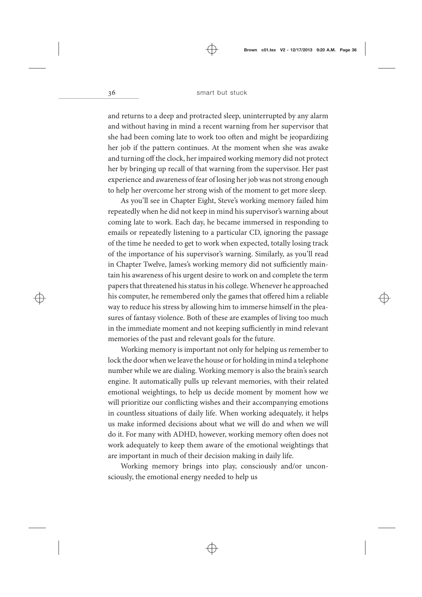and returns to a deep and protracted sleep, uninterrupted by any alarm and without having in mind a recent warning from her supervisor that she had been coming late to work too often and might be jeopardizing her job if the pattern continues. At the moment when she was awake and turning off the clock, her impaired working memory did not protect her by bringing up recall of that warning from the supervisor. Her past experience and awareness of fear of losing her job was not strong enough to help her overcome her strong wish of the moment to get more sleep.

As you'll see in Chapter Eight, Steve's working memory failed him repeatedly when he did not keep in mind his supervisor's warning about coming late to work. Each day, he became immersed in responding to emails or repeatedly listening to a particular CD, ignoring the passage of the time he needed to get to work when expected, totally losing track of the importance of his supervisor's warning. Similarly, as you'll read in Chapter Twelve, James's working memory did not sufficiently maintain his awareness of his urgent desire to work on and complete the term papers that threatened his status in his college. Whenever he approached his computer, he remembered only the games that offered him a reliable way to reduce his stress by allowing him to immerse himself in the pleasures of fantasy violence. Both of these are examples of living too much in the immediate moment and not keeping sufficiently in mind relevant memories of the past and relevant goals for the future.

Working memory is important not only for helping us remember to lock the door when we leave the house or for holding in mind a telephone number while we are dialing. Working memory is also the brain's search engine. It automatically pulls up relevant memories, with their related emotional weightings, to help us decide moment by moment how we will prioritize our conflicting wishes and their accompanying emotions in countless situations of daily life. When working adequately, it helps us make informed decisions about what we will do and when we will do it. For many with ADHD, however, working memory often does not work adequately to keep them aware of the emotional weightings that are important in much of their decision making in daily life.

Working memory brings into play, consciously and/or unconsciously, the emotional energy needed to help us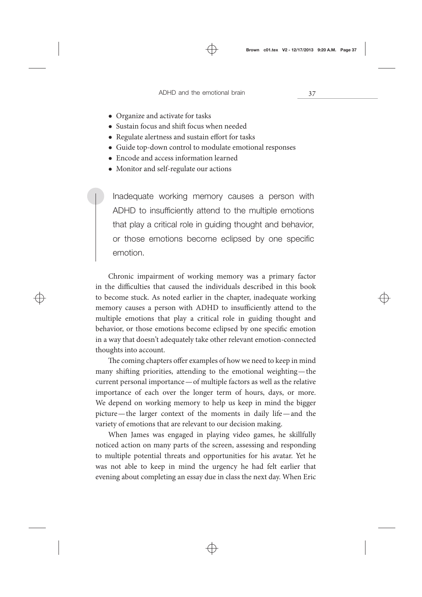- Organize and activate for tasks
- Sustain focus and shift focus when needed
- Regulate alertness and sustain effort for tasks
- Guide top-down control to modulate emotional responses
- Encode and access information learned
- Monitor and self-regulate our actions

Inadequate working memory causes a person with ADHD to insufficiently attend to the multiple emotions that play a critical role in guiding thought and behavior, or those emotions become eclipsed by one specific emotion.

Chronic impairment of working memory was a primary factor in the difficulties that caused the individuals described in this book to become stuck. As noted earlier in the chapter, inadequate working memory causes a person with ADHD to insufficiently attend to the multiple emotions that play a critical role in guiding thought and behavior, or those emotions become eclipsed by one specific emotion in a way that doesn't adequately take other relevant emotion-connected thoughts into account.

The coming chapters offer examples of how we need to keep in mind many shifting priorities, attending to the emotional weighting— the current personal importance—of multiple factors as well as the relative importance of each over the longer term of hours, days, or more. We depend on working memory to help us keep in mind the bigger picture— the larger context of the moments in daily life—and the variety of emotions that are relevant to our decision making.

When James was engaged in playing video games, he skillfully noticed action on many parts of the screen, assessing and responding to multiple potential threats and opportunities for his avatar. Yet he was not able to keep in mind the urgency he had felt earlier that evening about completing an essay due in class the next day. When Eric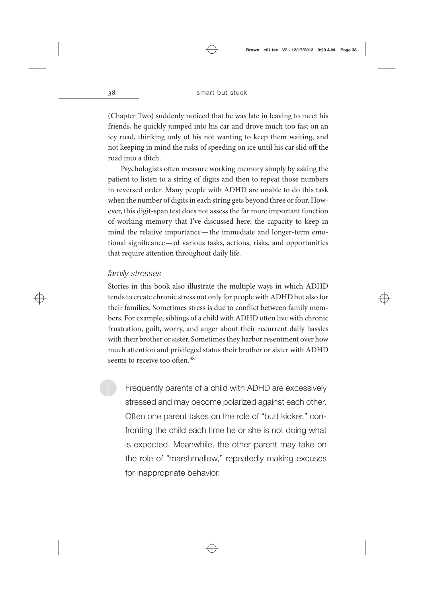(Chapter Two) suddenly noticed that he was late in leaving to meet his friends, he quickly jumped into his car and drove much too fast on an icy road, thinking only of his not wanting to keep them waiting, and not keeping in mind the risks of speeding on ice until his car slid off the road into a ditch.

Psychologists often measure working memory simply by asking the patient to listen to a string of digits and then to repeat those numbers in reversed order. Many people with ADHD are unable to do this task when the number of digits in each string gets beyond three or four. However, this digit-span test does not assess the far more important function of working memory that I've discussed here: the capacity to keep in mind the relative importance— the immediate and longer-term emotional significance—of various tasks, actions, risks, and opportunities that require attention throughout daily life.

#### family stresses

Stories in this book also illustrate the multiple ways in which ADHD tends to create chronic stress not only for people with ADHD but also for their families. Sometimes stress is due to conflict between family members. For example, siblings of a child with ADHD often live with chronic frustration, guilt, worry, and anger about their recurrent daily hassles with their brother or sister. Sometimes they harbor resentment over how much attention and privileged status their brother or sister with ADHD seems to receive too often.<sup>38</sup>

Frequently parents of a child with ADHD are excessively stressed and may become polarized against each other. Often one parent takes on the role of "butt kicker," confronting the child each time he or she is not doing what is expected. Meanwhile, the other parent may take on the role of "marshmallow," repeatedly making excuses for inappropriate behavior.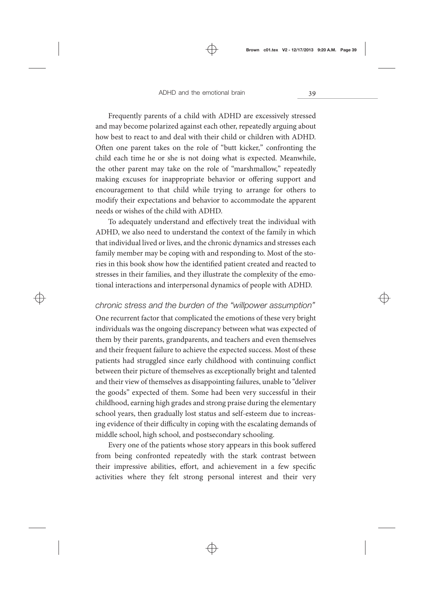Frequently parents of a child with ADHD are excessively stressed and may become polarized against each other, repeatedly arguing about how best to react to and deal with their child or children with ADHD. Often one parent takes on the role of "butt kicker," confronting the child each time he or she is not doing what is expected. Meanwhile, the other parent may take on the role of "marshmallow," repeatedly making excuses for inappropriate behavior or offering support and encouragement to that child while trying to arrange for others to modify their expectations and behavior to accommodate the apparent needs or wishes of the child with ADHD.

To adequately understand and effectively treat the individual with ADHD, we also need to understand the context of the family in which that individual lived or lives, and the chronic dynamics and stresses each family member may be coping with and responding to. Most of the stories in this book show how the identified patient created and reacted to stresses in their families, and they illustrate the complexity of the emotional interactions and interpersonal dynamics of people with ADHD.

#### chronic stress and the burden of the "willpower assumption"

One recurrent factor that complicated the emotions of these very bright individuals was the ongoing discrepancy between what was expected of them by their parents, grandparents, and teachers and even themselves and their frequent failure to achieve the expected success. Most of these patients had struggled since early childhood with continuing conflict between their picture of themselves as exceptionally bright and talented and their view of themselves as disappointing failures, unable to "deliver the goods" expected of them. Some had been very successful in their childhood, earning high grades and strong praise during the elementary school years, then gradually lost status and self-esteem due to increasing evidence of their difficulty in coping with the escalating demands of middle school, high school, and postsecondary schooling.

Every one of the patients whose story appears in this book suffered from being confronted repeatedly with the stark contrast between their impressive abilities, effort, and achievement in a few specific activities where they felt strong personal interest and their very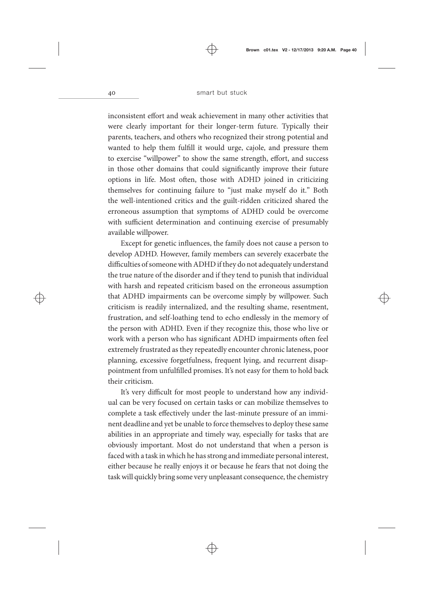inconsistent effort and weak achievement in many other activities that were clearly important for their longer-term future. Typically their parents, teachers, and others who recognized their strong potential and wanted to help them fulfill it would urge, cajole, and pressure them to exercise "willpower" to show the same strength, effort, and success in those other domains that could significantly improve their future options in life. Most often, those with ADHD joined in criticizing themselves for continuing failure to "just make myself do it." Both the well-intentioned critics and the guilt-ridden criticized shared the erroneous assumption that symptoms of ADHD could be overcome with sufficient determination and continuing exercise of presumably available willpower.

Except for genetic influences, the family does not cause a person to develop ADHD. However, family members can severely exacerbate the difficulties of someone with ADHD if they do not adequately understand the true nature of the disorder and if they tend to punish that individual with harsh and repeated criticism based on the erroneous assumption that ADHD impairments can be overcome simply by willpower. Such criticism is readily internalized, and the resulting shame, resentment, frustration, and self-loathing tend to echo endlessly in the memory of the person with ADHD. Even if they recognize this, those who live or work with a person who has significant ADHD impairments often feel extremely frustrated as they repeatedly encounter chronic lateness, poor planning, excessive forgetfulness, frequent lying, and recurrent disappointment from unfulfilled promises. It's not easy for them to hold back their criticism.

It's very difficult for most people to understand how any individual can be very focused on certain tasks or can mobilize themselves to complete a task effectively under the last-minute pressure of an imminent deadline and yet be unable to force themselves to deploy these same abilities in an appropriate and timely way, especially for tasks that are obviously important. Most do not understand that when a person is faced with a task in which he has strong and immediate personal interest, either because he really enjoys it or because he fears that not doing the task will quickly bring some very unpleasant consequence, the chemistry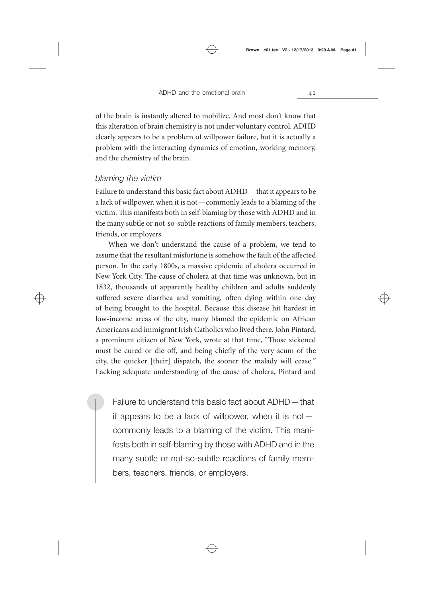of the brain is instantly altered to mobilize. And most don't know that this alteration of brain chemistry is not under voluntary control. ADHD clearly appears to be a problem of willpower failure, but it is actually a problem with the interacting dynamics of emotion, working memory, and the chemistry of the brain.

#### blaming the victim

Failure to understand this basic fact about ADHD— that it appears to be a lack of willpower, when it is not—commonly leads to a blaming of the victim. This manifests both in self-blaming by those with ADHD and in the many subtle or not-so-subtle reactions of family members, teachers, friends, or employers.

When we don't understand the cause of a problem, we tend to assume that the resultant misfortune is somehow the fault of the affected person. In the early 1800s, a massive epidemic of cholera occurred in New York City. The cause of cholera at that time was unknown, but in 1832, thousands of apparently healthy children and adults suddenly suffered severe diarrhea and vomiting, often dying within one day of being brought to the hospital. Because this disease hit hardest in low-income areas of the city, many blamed the epidemic on African Americans and immigrant Irish Catholics who lived there. John Pintard, a prominent citizen of New York, wrote at that time, "Those sickened must be cured or die off, and being chiefly of the very scum of the city, the quicker [their] dispatch, the sooner the malady will cease." Lacking adequate understanding of the cause of cholera, Pintard and

Failure to understand this basic fact about ADHD—that it appears to be a lack of willpower, when it is not  $$ commonly leads to a blaming of the victim. This manifests both in self-blaming by those with ADHD and in the many subtle or not-so-subtle reactions of family members, teachers, friends, or employers.